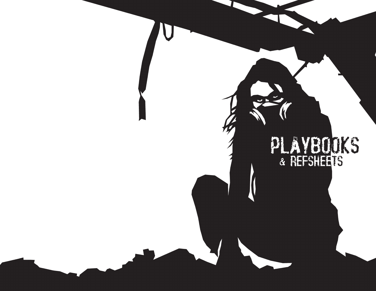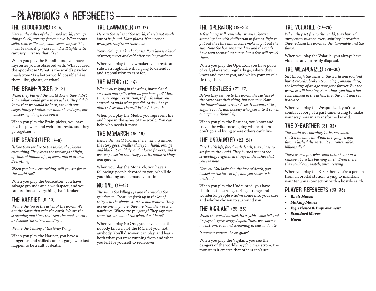# -PLAYBOOKS & REFSHEETS-

#### THE BLOODHOUND (3–4)

*Here in the ashes of the burned world, strange things dwell, strange forces move. What seems solid, real, is illusion; what seems impossible, must be true. Any whose mind still lights with curiosity must see that it's so.*

When you play the Bloodhound, you have mysteries you're obsessed with: What caused the apocalypse? What is the world's psychic maelstrom? Is a better world possible? Are there, like, ghosts, or what?

#### THE BRAIN-PICKER (5–6)

*When they burned the world down, they didn't know what would grow in its ashes. They didn't know that we would be born, we with our eager, hungry brains, our unblinkered eyes, our whispering, dangerous voices.*

When you play the Brain-picker, you have psychic powers and weird interests, and they go together…

#### THE GEARCUTTER (7–8)

*Before they set fire to the world, they knew everything. They knew the workings of light, of time, of human life, of space and of atoms. Everything.*

*When you know everything, will you set fire to the world too?*

When you play the Gearcutter, you have salvage grounds and a workspace, and you can fix almost everything that's broken.

#### THE HARRIER (9–10)

*We are the fire in the ashes of the world. We are the claws that rake the earth. We are the screaming machines that tear the roads to ruts and shake the ruined buildings.*

*We are the beating of the Gray Wing.*

When you play the Harrier, you have a dangerous and skilled combat gang, who just happen to be a cult of death.

#### THE LAWMAKER (11–12)

*Here in the ashes of the world, there's not much law to be found. Most places, if someone's wronged, they're on their own.*

*Your holding is a kind of oasis. Your law is a kind of water, sweet and cold after too long without.*

When you play the Lawmaker, you create and rule a stronghold, with a gang to defend it and a population to care for.

#### THE MEDIC (13–14)

*When you're lying in the ashes, burned and smashed and spilt, what do you hope for? More time, revenge, restitution, to finish what you started, to undo what you did, to do what you didn't? A second chance? Friend, here it is.*

When you play the Medic, you represent life and hope in the ashes of the world. You can help who needs it most.

#### THE MONARCH (15–16)

*Before the world burned, there was a creature, the story goes, smaller than your hand, orange and black. It could fly, and it loved flowers, and it was so powerful that they gave its name to kings and queens.*

When you play the Monarch, you have a following: people devoted to you, who'll do your bidding and demand your time.

#### NO ONE (17–18)

*The sun is the killing eye and the wind is the grindstone. Creatures fetch up in the lee of things, in the shade, scorched and scoured. They are no one anymore, they are from the worst of nowheres. Where are you going? They say: away from the sun, out of the wind. Am I here?*

When you play No One, you have a past that nobody knows, not the MC, not you, not anybody. You'll discover it in play, and learn both what you were running from and what you left for yourself to rediscover.

#### THE OPERATOR (19–20)

*A few living still remember it: every horizon scorching hot with civilization in flames, light to put out the stars and moon, smoke to put out the sun. Now the horizons are dark and the roads have torn themselves apart, but a few still travel them.*

When you play the Operator, you have ports of call, places you regularly go, where they know and expect you, and which your travels tie together.

#### THE RESTLESS (21–22)

*Before they set fire to the world, the surface of the earth was their thing, but not now. Now the Inhospitable surrounds us. It devours cities, engulfs roads, and nobody who goes into it comes out again without help.* 

When you play the Restless, you know and travel the wilderness, going where others don't go and living where others can't live.

#### THE UNDAUNTED (23–24)

*Faced with life, faced with death, they chose to set fire to the world. They burned us into the scrabbling, frightened things in the ashes that you see now.*

*Not you. You looked in the face of death, you looked on the face of life, and you chose to be unafraid.*

When you play the Undaunted, you have children, the strong, caring, strange and wonderful people who've come into your care and who've chosen to surround you.

#### THE VIGILANT (25–26)

*When the world burned, its psychic walls fell and its psychic gates sagged open. There was born a maelstrom, vast and screaming in fear and hate.*

*It spawns terrors. Be on guard.*

When you play the Vigilant, you see the dangers of the world's psychic maelstrom, the monsters it creates that others can't see.

#### THE VOLATILE (27–28)

*When they set fire to the world, they burned away every nuance, every subtlety in creation. They reduced the world to the flammable and the flame.*

When you play the Volatile, you always have violence at your ready disposal.

#### THE WEAPONIZED (29–30)

*Sift through the ashes of the world and you find burnt records, broken technology, opaque data, the leavings of an age now gone forever. But the world is still burning. Sometimes you find a hot coal, banked in the ashes. Breathe on it and set it ablaze.*

When you play the Weaponized, you're a combat cyborg of a past time, trying to make your way now in a transformed world.

#### THE X-EARTHER (31–32)

*The world was burning. Cities spasmed, shattered, and fell. Wind, fire, plague, and famine lashed the earth. It's inconceivable: billions died.*

*There were a few who could take shelter at a remove above the burning earth. From there, they could only watch, unconceiving.*

When you play the X-Earther, you're a person from an orbital station, trying to maintain your tenuous connection with a hostile earth.

#### PLAYER REFSHEETS (33–36)

- *• Basic Moves*
- *• Making Moves*
	- *• Experience & Improvement*
	- *• Standard Moves*
	- *• Harm*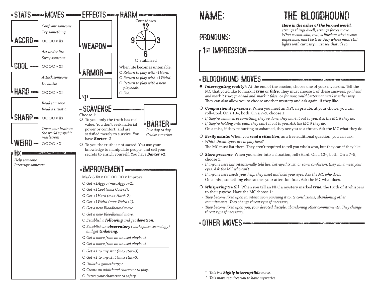

#### PRONOUNS:

### **Fist IMPRESSION**

THE BLOODHOUND

*Here in the ashes of the burned world,* 

*strange things dwell, strange forces move. What seems solid, real, is illusion; what seems impossible, must be true. Any whose mind still lights with curiosity must see that it's so.*

### -BLOODHOUND MOVES

- *Interrogating reality*†: At the end of the session, choose one of your mysteries. Tell the MC that you'd like to mark it *true* or *false*. They must choose 1 of these answers: *go ahead and mark it true; go ahead and mark it false*; or *for now, you'd better not mark it either way*. They can also allow you to choose another mystery and ask again, if they like.
- *Compassionate presence*: When you meet an NPC in private, at your choice, you can roll+Cool. On a 10+, both. On a 7–9, choose 1:
- *• If they're ashamed of something they've done, they blurt it out to you. Ask the MC if they do.*
- *• If they're holding onto pain, they blurt it out to you. Ask the MC if they do.* On a miss, if they're hurting or ashamed, they see you as a threat. Ask the MC what they do.
- *Eerily astute*: When you *read a situation*, as a free additional question, you can ask: *• Which threat types are in play here?*

The MC must list them. They aren't required to tell you who's who, but they can if they like.

- *Stern presence*: When you enter into a situation, roll+Hard. On a 10+, both. On a 7–9, choose 1:
- *• If anyone here has intentionally told lies, betrayed trust, or sown confusion, they can't meet your eyes. Ask the MC who can't.*
- *• If anyone here needs your help, they meet and hold your eyes. Ask the MC who does.* On a miss, something else catches your attention first. Ask the MC what does.
- *Whispering truth*†: When you tell an NPC a mystery marked *true*, the truth of it whispers to their psyche. Have the MC choose 1:
- *• They become fixed upon it, intent upon pursuing it to its conclusions, abandoning other commitments. They change threat type if necessary.*
- *• They become fixed upon you, your devoted disciple, abandoning other commitments. They change threat type if necessary.*

### -OTHER MOVES FOR A CONTROL CONTROL CONTROL

*\* This is a highly interruptible move.*

*† This move requires you to have mysteries.*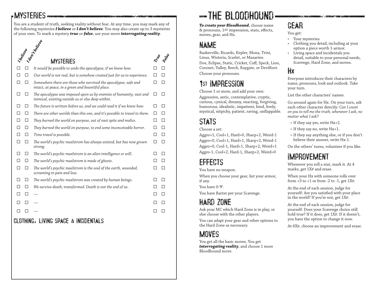### MYSTERIES

You are a student of truth, seeking reality without fear. At any time, you may mark any of the following mysteries *I believe* or *I don't believe*. You may also create up to 3 mysteries of your own. To mark a mystery *true* or *false*, use your move *interrogating reality*. **Indian Property of the MYSTERIES**  *It would be possible to undo the apocalypse, if we knew how*.  $\Box$   $\Box$  *Our world is not real, but is somehow created just for us to experience.*  $\Box$   $\Box$  *Somewhere there are those who survived the apocalypse, safe and intact, at peace, in a green and bountiful place*. *The apocalypse was imposed upon us by enemies of humanity, vast and inimical, existing outside us or else deep within*.  $\Box$   $\Box$  The future is written before us, and we could read it if we knew how.  $\Box$   $\Box$  *There are other worlds than this one, and it's possible to travel to them*. *They burned the world on purpose, out of vast spite and malice*. *They burned the world on purpose, to end some inconceivable horror*. *Time travel is possible*. *The world's psychic maelstrom has always existed, but has now grown strong*. *The world's psychic maelstrom is an alien intelligence or will*. *The world's psychic maelstrom is made of ghosts*. *The world's psychic maelstrom is the soul of the earth, wounded, screaming in pain and loss*. *The world's psychic maelstrom was created by human beings*. *We survive death, transformed. Death is not the end of us*. *— — —* **I believe** *True False*

#### CLOTHING, LIVING SPACE & INCIDENTALS

# THE BLOODHOUND

*To create your Bloodhound*, choose name & pronouns, 1st impression, stats, effects, moves, gear, and Hx.

### NAME

Baskerville, Ricardo, Kepler, Mona, Trini, Linus, Wisteria, Scarlet, or Mazarine.

Doe, Eclipse, Static, Cricket, Cuff, Speck, Lion, Coronet, Valley, Beech, Raygate, or Devilfoot. Choose your pronouns.

## 1st IMPRESSION

Choose 1 or more, and add your own:

Aggressive, antic, contemplative, cryptic, curious, cynical, dreamy, exacting, forgiving, humorous, idealistic, impatient, kind, lively, mystical, nitpicky, patient, raving, unflappable.

## STATS

Choose a set:

Aggro+1, Cool+1, Hard=0, Sharp+2, Weird-1 Aggro=0, Cool+1, Hard+1, Sharp+2, Weird-1 Aggro=0, Cool-1, Hard+1, Sharp+2, Weird+1 Aggro-1, Cool+2, Hard-1, Sharp+2, Weird=0

## EFFECTS

You have no weapon.

When you choose your gear, list your armor, if any.

You have 0-Ψ.

You have Barter per your Scavenge.

## HARD ZONE

Ask your MC which Hard Zone is in play, or else choose with the other players.

You can adapt your gear and other options to the Hard Zone as necessary.

### **MOVES**

You get all the basic moves. You get *interrogating reality*, and choose 1 more Bloodhound move.

## GEAR

You get:

- Your mysteries.
- Clothing you detail, including at your option a piece worth 1-armor.
- Living space and incidentals you detail, suitable to your personal needs, Scavenge, Hard Zone, and moves.

#### Hx

Everyone introduces their characters by name, pronouns, look and outlook. Take your turn.

List the other characters' names.

Go around again for Hx. On your turn, ask each other character directly: *Can I count on you to tell me the truth, whenever I ask, no matter what I ask?*

- If they say yes, write Hx+2.
- If they say no, write Hx+1.
- If they say anything else, or if you don't believe their answer, write Hx-1.

On the others' turns, volunteer if you like.

## IMPROVEMENT

Whenever you roll a stat, mark it. At 4 marks, get 1Xp and erase.

When your Hx with someone rolls over from  $+3$  to  $+1$  or from  $-2$  to  $-1$ , get 1XP.

At the end of each session, judge for yourself: Are you satisfied with your place in the world? If you're not, get 1Xp.

At the end of each session, judge for yourself: Does your Scavenge choice still hold true? If it does, get 1Xp. If it doesn't, you have the option to change it now.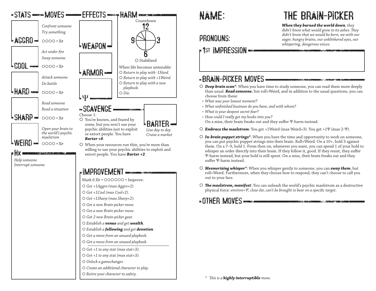

### PRONOUNS:

### **Fist IMPRESSION**

## THE BRAIN-PICKER

*When they burned the world down, they didn't know what would grow in its ashes. They didn't know that we would be born, we with our eager, hungry brains, our unblinkered eyes, our whispering, dangerous voices.*

#### BRAIN-PICKER MOVES

- *Deep brain scan\**: When you have time to study someone, you can read them more deeply than usual. *Read someone*, but roll+Weird, and in addition to the usual questions, you can choose from these:
- *• What was your lowest moment?*
- *• What unfinished business do you have, and with whom?*
- *• What is your deepest secret fear?*
- *• How could I really get my hooks into you?* On a miss, their brain freaks out and they suffer Ψ-harm instead.
- *Embrace the maelstrom*: You get +1Weird (max Weird+3). You get +1Ψ (max 2-Ψ).
- *In-brain puppet strings\**: When you have the time and opportunity to work on someone, you can put psychic puppet strings into their brain. Roll+Weird. On a 10+, hold 3 against them. On a 7–9, hold 1. From then on, whenever you want, you can spend 1 of your hold to whisper an order directly into their brain. If they follow it, good. If they resist, they suffer Ψ-harm instead, but your hold is still spent. On a miss, their brain freaks out and they suffer Ψ-harm instead.
- *Mesmerizing whisper\**: When you whisper gently to someone, you can *sway them*, but roll+Weird. Furthermore, when they choose how to respond, they can't choose to call you out to your face.
- *The maelstrom, manifest*: You can unleash the world's psychic maelstrom as a destructive physical force: *environ=Ψ, close-far, can't be brought to bear on a specific target*.

**COTHER MOVES CONTINUES** 

*\* This is a highly interruptible move.*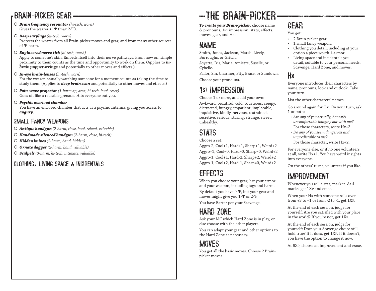### BRAIN-PICKER GEAR

 *Brain frequency resonator (hi-tech, worn)* Gives the wearer +1Ψ (max 2-Ψ).

 *Deep earplugs (hi-tech, worn)* Protects the wearer from all Brain-picker moves and gear, and from many other sources of Ψ-harm.

#### *Engineered nerve tick (hi-tech, touch)*

Apply to someone's skin. Embeds itself into their nerve pathways. From now on, simple proximity to them counts as the time and opportunity to work on them. (Applies to *inbrain puppet strings* and potentially to other moves and effects.)

- *In-eye brain-lenses (hi-tech, worn)* For the wearer, casually watching someone for a moment counts as taking the time to study them. (Applies to *deep brain scan* and potentially to other moves and effects.)
- *Pain-wave projector (1-harm ap, area, hi-tech, loud, reset)* Goes off like a reusable grenade. Hits everyone but you.
- *Psychic overload chamber*

You have an enclosed chamber that acts as a psychic antenna, giving you access to *augury*.

#### SMALL FANCY WEAPONS

- *Antique handgun (2-harm, close, loud, reload, valuable)*
- *Handmade silenced handgun (2-harm, close, hi-tech)*
- *Hidden knives (2-harm, hand, hidden)*
- *Ornate dagger (2-harm, hand, valuable)*
- *Scalpels (3-harm, hi-tech, intimate, valuable)*

#### CLOTHING, LIVING SPACE & INCIDENTALS

## THE BRAIN-PICKER

*To create your Brain-picker*, choose name & pronouns, 1st impression, stats, effects, moves, gear, and Hx.

### NAME

Smith, Jones, Jackson, Marsh, Lively, Burroughs, or Gritch.

Joyette, Iris, Marie, Amiette, Suselle, or Cybelle.

Pallor, Sin, Charmer, Pity, Brace, or Sundown. Choose your pronouns.

### 1st IMPRESSION

Choose 1 or more, and add your own:

Awkward, beautiful, cold, courteous, creepy, distracted, hungry, impatient, implacable, inquisitive, kindly, nervous, restrained, secretive, serious, staring, strange, sweet, unhealthy.

### STATS

Choose a set:

Aggro-2, Cool+1, Hard+1, Sharp+1, Weird+2 Aggro+1, Cool=0, Hard=0, Sharp=0, Weird+2 Aggro-1, Cool+1, Hard-2, Sharp+2, Weird+2 Aggro-1, Cool+2, Hard-1, Sharp=0, Weird+2

### **FFFECTS**

When you choose your gear, list your armor and your weapon, including tags and harm. By default you have 0-Ψ, but your gear and moves might give you 1-Ψ or 2-Ψ.

You have Barter per your Scavenge.

### HARD ZONE

Ask your MC which Hard Zone is in play, or else choose with the other players.

You can adapt your gear and other options to the Hard Zone as necessary.

### **MOVES**

You get all the basic moves. Choose 2 Brainpicker moves.

## GEAR

You get:

- 2 Brain-picker gear.
- 1 small fancy weapon.
- Clothing you detail, including at your option a piece worth 1-armor.
- Living space and incidentals you detail, suitable to your personal needs, Scavenge, Hard Zone, and moves.

#### Hx

Everyone introduces their characters by name, pronouns, look and outlook. Take your turn.

List the other characters' names.

Go around again for Hx. On your turn, ask 1 or both:

- *• Are any of you actually, honestly uncomfortable hanging out with me?* For those characters, write Hx+3.
- *• Do any of you seem dangerous and unpredictable to me?*
- For those character, write Hx+2.

For everyone else, or if no one volunteers at all, write Hx+1. You have weird insights into everyone.

On the others' turns, volunteer if you like.

### IMPROVEMENT

Whenever you roll a stat, mark it. At 4 marks, get 1Xp and erase.

When your Hx with someone rolls over from  $+3$  to  $+1$  or from  $-2$  to  $-1$ , get  $1XP$ .

At the end of each session, judge for yourself: Are you satisfied with your place in the world? If you're not, get 1Xp.

At the end of each session, judge for yourself: Does your Scavenge choice still hold true? If it does, get 1Xp. If it doesn't, you have the option to change it now.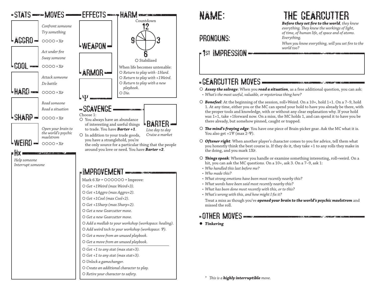

#### PRONOUNS:

### 1st IMPRESSION

#### GEARCUTTER MOVES

- *Assay the salvage*: When you *read a situation*, as a free additional question, you can ask: *• What's the most useful, valuable, or mysterious thing here?*
- *Bonefeel*: At the beginning of the session, roll+Weird. On a 10+, hold 1+1. On a 7–9, hold 1. At any time, either you or the MC can spend your hold to have you already be there, with the proper tools and knowledge, with or without any clear explanation why. If your hold was 1+1, take +1forward now. On a miss, the MC holds 1, and can spend it to have you be there already, but somehow pinned, caught or trapped.
- *The mind's fraying edge*: You have one piece of Brain-picker gear. Ask the MC what it is. You also get +1Ψ (max 2-Ψ).
- *Oftener right*: When another player's character comes to you for advice, tell them what you honestly think the best course is. If they do it, they take +1 to any rolls they make in the doing, and you mark 1Xp.
- *Things speak*: Whenever you handle or examine something interesting, roll+weird. On a hit, you can ask the MC questions. On a 10+, ask 3. On a 7-9, ask 1:
- *• Who handled this last before me?*
- *• Who made this?*
- *• What strong emotions have been most recently nearby this?*
- *• What words have been said most recently nearby this?*
- *• What has been done most recently with this, or to this?*
- *• What's wrong with this, and how might I fix it?*

Treat a miss as though you've *opened your brain to the world's psychic maelstrom* and missed the roll.

### -OTHER MOVES

*Tinkering*

*\* This is a highly interruptible move.*

THE GEARCUTTER

*Before they set fire to the world, they knew* 

*everything. They knew the workings of light, of time, of human life, of space and of atoms. Everything.*

*When you know everything, will you set fire to the world too?*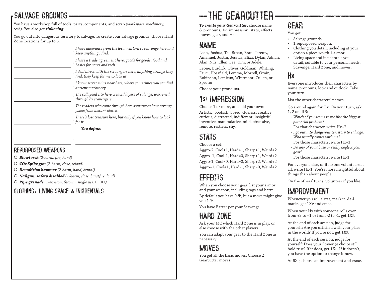### SALVAGE GROUNDS

You have a workshop full of tools, parts, components, and scrap (*workspace: machinery, tech*). You also get *tinkering*.

You go out into dangerous territory to salvage. To create your salvage grounds, choose Hard Zone locations for up to 5:

| I have allowance from the local warlord to scavenge here and<br>keep anything I find.               |
|-----------------------------------------------------------------------------------------------------|
| I have a trade agreement here, goods for goods, food and<br>basics for parts and tech.              |
| I deal direct with the scroungers here, anything strange they<br>find, they keep for me to look at. |
| I know secret ruins near here, where sometimes you can find<br>ancient machinery.                   |
| The collapsed city here created layers of salvage, warrened<br>through by scavengers.               |
| The traders who come through here sometimes have strange<br>goods from distant places.              |
| There's lost treasure here, but only if you know how to look<br>for it.                             |
| You define:                                                                                         |

#### REPURPOSED WEAPONS

- *Blowtorch (2-harm, fire, hand)*
- *CO2 Spike gun (2-harm, close, reload)*
- *Demolition hammer (2-harm, hand, brutal)*
- *Nailgun, safety disabled (1-harm, close, burstfire, loud)*

:

*Pipe grenade (1-environ, thrown, single use: )*

#### CLOTHING, LIVING SPACE & INCIDENTALS

# THE GEARCUTTER

*To create your Gearcutter*, choose name & pronouns, 1st impression, stats, effects, moves, gear, and Hx.

### NAME

Leah, Joshua, Tai, Ethan, Bran, Jeremy, Amanuel, Justin, Jessica, Eliza, Dylan, Adnan, Alan, Nils, Ellen, Lee, Kim, or Adele.

Leone, Burdick, Oliver, Goldman, Whiting, Fauci, Hossfield, Lemma, Morrell, Ozair, Robinson, Lemieux, Whitmont, Cullen, or Spector.

Choose your pronouns.

## 1st IMPRESSION

Choose 1 or more, and add your own: Artistic, bookish, bored, clueless, creative, curious, distracted, indifferent, insightful, inventive, manipulative, mild, obsessive, remote, restless, shy.

### STATS

#### Choose a set:

Aggro-2, Cool+1, Hard+1, Sharp+1, Weird+2 Aggro+1, Cool-1, Hard=0, Sharp+1, Weird+2 Aggro-1, Cool=0, Hard=0, Sharp+2, Weird+2 Aggro+1, Cool+1, Hard-1, Sharp=0, Weird+2

### EFFECTS

When you choose your gear, list your armor and your weapon, including tags and harm. By default you have 0-Ψ, but a move might give you 1-Ψ.

You have Barter per your Scavenge.

### HARD ZONE

Ask your MC which Hard Zone is in play, or else choose with the other players.

You can adapt your gear to the Hard Zone as necessary.

## **MOVES**

You get all the basic moves. Choose 2 Gearcutter moves.

## GEAR

You get:

- Salvage grounds.
- 1 repurposed weapon.
- Clothing you detail, including at your option a piece worth 1-armor.
- Living space and incidentals you detail, suitable to your personal needs, Scavenge, Hard Zone, and moves.

#### Hx

Everyone introduces their characters by name, pronouns, look and outlook. Take your turn.

List the other characters' names.

Go around again for Hx. On your turn, ask 1, 2 or all 3:

- *• Which of you seems to me like the biggest potential problem?*
- For that character, write Hx+2.
- *• I go out into dangerous territory to salvage. Who usually comes with me?*
- For those characters, write Hx+1.
- *• Do any of you abuse or really neglect your gear?*

For those characters, write Hx-1.

For everyone else, or if no one volunteers at all, write Hx-1. You're more insightful about things than about people.

On the others' turns, volunteer if you like.

### IMPROVEMENT

Whenever you roll a stat, mark it. At 4 marks, get 1Xp and erase.

When your Hx with someone rolls over from  $+3$  to  $+1$  or from  $-2$  to  $-1$ , get  $1XP$ .

At the end of each session, judge for yourself: Are you satisfied with your place in the world? If you're not, get 1Xp.

At the end of each session, judge for yourself: Does your Scavenge choice still hold true? If it does, get 1Xp. If it doesn't, you have the option to change it now.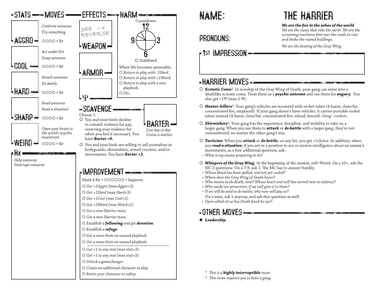

#### PRONOUNS:

### 1st IMPRESSION

## THE HARRIER

#### *We are the fire in the ashes of the world.*

and the company of the company of the company of the company of the company of the company of the company of the company of the company of the company of the company of the company of the company of the company of the comp

*We are the claws that rake the earth. We are the screaming machines that tear the roads to ruts and shake the ruined buildings.*

*We are the beating of the Gray Wing.*

.<br>Shinaxba, falk maaladan

#### HARRIER MOVES

- *Ecstatic Coma*†: In worship of the Gray Wing of Death, your gang can enter into a deathlike ecstatic coma. Treat them as a *psychic antenna* and use them for *augury*. You also get  $+1\Psi$  (max 2- $\Psi$ ).
- *Hunter-killers*†: Your gang's vehicles are mounted with rocket tubes (4-harm, close/far, concentrated fire, emplaced). If your gang doesn't have vehicles, it carries portable rocket tubes instead (4-harm, close/far, concentrated fire, reload, braced). *Gang: +rockets.*
- *Skirmishers*†: Your gang has the experience, discipline, and mobility to take on a larger gang. When you use them to *attack* or *do battle* with a larger gang, they're not outnumbered, no matter the other gang's size.
- *Tactician*: When you *attack* or *do battle*, on any hit, you get +1choice. In addition, when you *read a situation*, if you are in a position to see or receive intelligence about an enemy's movements, as a free additional question, ask:
- *• What is my enemy preparing to do?*
- *Whispers of the Gray Wing*: At the beginning of the session, roll+Weird. On a 10+, ask the MC 2 questions. On a 7-9, ask 1. The MC has to answer frankly.
- *• Whose blood has been spilled, and not yet cooled?*
- *• Where does the Gray Wing of Death hover?*
- *• Who means to do death, now? Whose heart and will has turned now to violence?*
- *• Who needs our protection, if we will give it to them?*
- *• If we will be paid to do battle, who now will pay us?*
- On a miss, ask 1 anyway, and ask this question as well:
- *• Upon which of us has Death fixed its eye?*

#### **OTHER MOVES**

*Leadership*

*\* This is a highly interruptible move.*

*† This move requires you to have a gang.*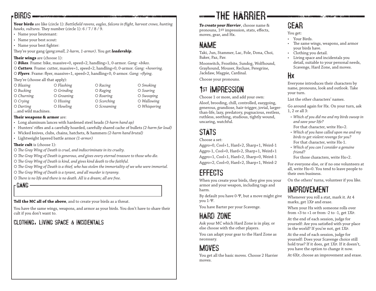#### BIRDS

**Your birds** are like (circle 1): *Battlefield ravens, eagles, falcons in flight, harvest crows, hunting hawks, vultures.* They number (circle 1): 6 / 7 / 8 / 9.

• Name your lieutenant:

- Name your best scout:
- Name your best fighter:

They're your gang (*gang:small, 2-harm, 1-armor)*. You get *leadership*.

**Their wings** are (choose 1):

*Bikes*. Frame: bike, massive=0, speed+2, handling+1, 0-armor. *Gang: +bikes*.

 *Cutters*. Frame: cutter, massive=1, speed+2, handling+0, 0-armor. *Gang: +hovering*. *Flyers*. Frame: flyer, massive=1, speed+2, handling+0, 0-armor. *Gang: +flying*.

They're (choose all that apply):

| $\bigcirc$ Blazing  | $\bigcirc$ Flashing | $O$ Racing  | $\bigcirc$ Smoking |
|---------------------|---------------------|-------------|--------------------|
| $\bigcirc$ Bucking  | $O$ Grinding        | $O$ Raging  | O Soaring          |
| $\bigcirc$ Churning | $O$ Groaning        | $O$ Roaring | O Swooping         |
| $\circ$ Crying      | $\bigcirc$ Hissing  | ○ Scorching | O Wallowing        |
| $\bigcirc$ Darting  | $O$ Howling         | O Screaming | O Whispering       |
| $\cdots$            |                     |             |                    |

…and wild machines.

#### **Their weapons & armor** are:

- Long aluminum lances with hardened steel heads *(3-harm hand ap)*
- Hunters' rifles and a carefully hoarded, carefully shared cache of bullets *(2-harm far loud)*
- Wicked knives, clubs, chains, hatchets, & hammers *(2-harm hand brutal)*
- Lightweight layered battle armor *(1-armor)*

**Their cult** is (choose 1):

- *The Gray Wing of Death is cruel, and indiscriminate in its cruelty.*
- *The Gray Wing of Death is generous, and gives every eternal treasure to those who die.*
- *The Gray Wing of Death is kind, and gives kind death to the faithful.*
- *The Gray Wing of Death is a thief, who has stolen the immortality of we who were immortal.*
- *The Gray Wing of Death is a tyrant, and all murder is tyranny.*
- *There is no life and there is no death. All is a dream; all are free.*

GANG

**Tell the MC all of the above**, and to create your birds as a threat.

You have the same wings, weapons, and armor as your birds. You don't have to share their cult if you don't want to.

### CLOTHING, LIVING SPACE & INCIDENTALS

# THE HARRIER

*To create your Harrier*, choose name & pronouns, 1st impression, stats, effects, moves, gear, and Hx.

### NAME

Taki, Jun, Stammer, Lac, Fole, Dona, Choi, Baker, Paz, Pav.

Moonwitch, Frostbite, Sundog, Wolfhound, Grayhound, Mouser, Recluse, Peregrine, Jackdaw, Magpie, Cardinal.

Choose your pronouns.

## 1st IMPRESSION

Choose 1 or more, and add your own: Aloof, brooding, chill, controlled, easygoing, generous, grandiose, hair-trigger, jovial, largerthan-life, lazy, predatory, pugnacious, restless, ruthless, seething, studious, tightly wound, uncaring, watchful.

## STATS

Choose a set:

Aggro=0, Cool+1, Hard+2, Sharp+1, Weird-1 Aggro-1, Cool=0, Hard+2, Sharp+1, Weird+1 Aggro+1, Cool+1, Hard+2, Sharp=0, Weird-1 Aggro+2, Cool=0, Hard+2, Sharp+1, Weird-2

## EFFECTS

When you create your birds, they give you your armor and your weapon, including tags and harm.

By default you have 0-Ψ, but a move might give you 1-Ψ.

You have Barter per your Scavenge.

## HARD ZONE

Ask your MC which Hard Zone is in play, or else choose with the other players.

You can adapt your gear to the Hard Zone as necessary.

## **MOVES**

You get all the basic moves. Choose 2 Harrier moves.

## GEAR

You get:

- Your Birds.
- The same wings, weapons, and armor your birds have.
- Clothing you detail.
- Living space and incidentals you detail, suitable to your personal needs, Scavenge, Hard Zone, and moves.

#### Hx

Everyone introduces their characters by name, pronouns, look and outlook. Take your turn.

List the other characters' names.

Go around again for Hx. On your turn, ask 1, 2 or all 3:

- *• Which of you did me and my birds swoop in and save your life?*
- For that character, write Hx+2.
- *• Which of you have called upon me and my birds to get violent revenge for you?* For that character, write Hx-1.
- *• Which of you can I consider a genuine friend?*

For those characters, write Hx+2.

For everyone else, or if no one volunteers at all, write Hx=0. You tend to leave people to their own business.

On the others' turns, volunteer if you like.

### IMPROVEMENT

Whenever you roll a stat, mark it. At 4 marks, get 1Xp and erase.

When your Hx with someone rolls over from  $+3$  to  $+1$  or from  $-2$  to  $-1$ , get  $1XP$ .

At the end of each session, judge for yourself: Are you satisfied with your place in the world? If you're not, get 1Xp.

At the end of each session, judge for yourself: Does your Scavenge choice still hold true? If it does, get 1Xp. If it doesn't, you have the option to change it now.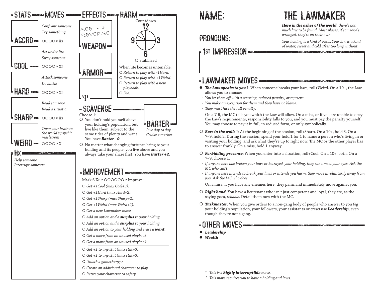

#### PRONOUNS:

### 1st IMPRESSION

#### -LAWMAKER MOVES-

- *The Law speaks to you* †: When someone breaks your laws, roll+Weird. On a 10+, the Law allows you to choose:
- *• You let them off with a warning, reduced penalty, or reprieve.*
- *• You make an exception for them and they have no blame.*
- *• They must face the full penalty.*

On a 7-9, the MC tells you which the Law will allow. On a miss, or if you are unable to obey the Law's requirements, responsibility falls to you, and you must pay the penalty yourself. You may choose to pay it in full, in reduced form, or only symbolically.

- *Ears in the walls* †: At the beginning of the session, roll+Sharp. On a 10+, hold 3. On a 7–9, hold 2. During the session, spend your hold 1 for 1 to name a person who's living in or visiting your holding, and ask what they're up to right now. The MC or the other player has to answer frankly. On a miss, hold 1 anyway.
- *Forbidding presence*: When you enter into a situation, roll+Cool. On a 10+, both. On a 7–9, choose 1:
- *• If anyone here has broken your laws or betrayed your holding, they can't meet your eyes. Ask the MC who can't.*
- *• If anyone here intends to break your laws or intends you harm, they move involuntarily away from you. Ask the MC who does.*

On a miss, if you have any enemies here, they panic and immediately move against you.

- *Right hand*: You have a lieutenant who isn't just competent and loyal, they are, as the saying goes, *reliable*. Detail them now with the MC.
- *Taskmaster*: When you give orders to a non-gang body of people who answer to you (*eg* your holding's population, your followers, your assistants or crew) use *Leadership*, even though they're not a gang.

#### -OTHER MOVES DECOMING THE CONTRACTOR OF THE CONTRACTOR

- *Leadership*
- *Wealth*

*\* This is a highly interruptible move.*

*† This move requires you to have a holding and laws.*



*Here in the ashes of the world, there's not much law to be found. Most places, if someone's wronged, they're on their own.*

*Your holding is a kind of oasis. Your law is a kind of water, sweet and cold after too long without.*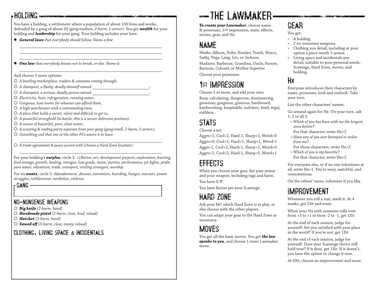### **-HOLDING -**

You have a holding, a settlement where a population of about 100 lives and works, defended by a gang of about 20 (*gang:medium, 2-harm, 1-armor*). You get *wealth* for your holding and *leadership* for your gang. Your holding includes your laws:

- *General laws that everybody should follow. Name a few:*
- *One law that everybody knows not to break, or else. Name it:*

And choose 3 more options:

- *A bustling marketplace, traders & caravans coming through.*
- *A champion, a flashy, deadly showoff named .*
- *A champion, a serious, deadly person named .*
- *Electricity, heat, refrigeration, running water.*
- *Gorgeous, luxe rooms for whoever can afford them.*
- *A high watchtower with a commanding view.*
- *A place that holds a secret, silent and difficult to get to.*
- *A powerful stronghold (in battle, this is a secure defensive position).*
- *A source of beautiful, pure, clean water.*
- *A scouting & raiding party separate from your gang (gang:small, 2-harm, 1-armor).*
- *Something cool that one of the other PCs wants it to have:*

*A trade agreement & peace accord with (choose a Hard Zone location):*

For your holding's *surplus*, circle 3: *+1Barter, art, development projects, exploration, feasting, food storage, growth, healing, intrigue, luxe goods, music, parties, performance, pit fights, profit, pure water, relaxation, trade, transport, visiting strangers, worship.*

For its *wants*, circle 2: *Abandonment, disease, extremism, hoarding, hunger, outcasts, power struggles, ruthlessness, vendettas, violence.*

#### GANG

#### NO-NONSENSE WEAPONS

- *Big knife (2-harm, hand)*
- *Handmade pistol (2-harm, close, loud, reload)*
- *Hatchet (3-harm, hand)*
- *Sawed off (3-harm, close, messy, reload)*

#### CLOTHING, LIVING SPACE & INCIDENTALS

# -THE LAWMAKER-

*To create your Lawmaker*, choose name & pronouns, 1st impression, stats, effects, moves, gear, and Hx.

### NAME

Nbeke, Allison, Kobe, Kreider, Tranh, Marco, Sadiq, Vega, Lang, Lin, or Jackson.

Madame, Barbecue, Grandma, Uncle, Parson, Barnum, Colonel, or Mother Superior.

Choose your pronouns.

## 1st IMPRESSION

Choose 1 or more, and add your own: Busy, calculating, dangerous, domineering, generous, gorgeous, gracious, hardnosed, hardworking, hospitable, indolent, kind, regal, ruthless.

### **STATS**

Choose a set:

Aggro+1, Cool+2, Hard-1, Sharp+1, Weird=0 Aggro=0, Cool+2, Hard+1, Sharp+1, Weird-1 Aggro-1, Cool+2, Hard+1, Sharp+1, Weird=0 Aggro+1, Cool+2, Hard-1, Sharp=0, Weird+1

### EFFECTS

When you choose your gear, list your armor and your weapon, including tags and harm. You have 0-Ψ.

You have Barter per your Scavenge.

## HARD ZONE

Ask your MC which Hard Zone is in play, or else choose with the other players.

You can adapt your gear to the Hard Zone as necessary.

### **MOVES**

You get all the basic moves. You get *the law speaks to you*, and choose 1 more Lawmaker move.

## GEAR

You get:

- A holding.
- 2 no-nonsense weapons.
- Clothing you detail, including at your option a piece worth 1-armor.

.<br>Prince and the communication of the communication of the communication of the communication of the communicati

• Living space and incidentals you detail, suitable to your personal needs, Scavenge, Hard Zone, moves, and holding.

### Hx

Everyone introduces their characters by name, pronouns, look and outlook. Take your turn.

List the other characters' names.

Go around again for Hx. On your turn, ask 1, 2 or all 3:

- *• Which of you has been with me the longest, since before?*
- For that character, write Hx+2.
- *• Have any of you ever betrayed or stolen from me?*
- For those characters, write Hx+3.
- *• Which of you is my favorite?* For that character, write Hx+2.

For everyone else, or if no one volunteers at all, write Hx+1. You're wary, watchful, and conscientious.

On the others' turns, volunteer if you like.

### IMPROVEMENT

Whenever you roll a stat, mark it. At 4 marks, get 1Xp and erase.

When your Hx with someone rolls over from  $+3$  to  $+1$  or from  $-2$  to  $-1$ , get  $1XP$ .

At the end of each session, judge for yourself: Are you satisfied with your place in the world? If you're not, get 1Xp.

At the end of each session, judge for yourself: Does your Scavenge choice still hold true? If it does, get 1Xp. If it doesn't, you have the option to change it now.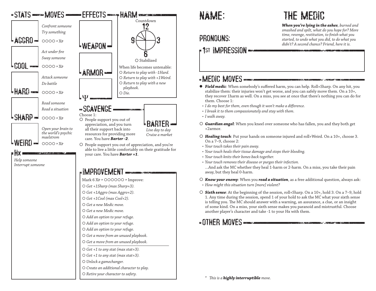

### PRONOUNS:

### 1st IMPRESSION

#### -MEDIC MOVES

- *Field medic*: When somebody's suffered harm, you can help. Roll+Sharp. On any hit, you stabilize them: their injuries won't get worse, and you can safely move them. On a 10+, they recover 1harm as well. On a miss, you see at once that there's nothing you can do for them. Choose 1:
- *• I do my best for them, even though it won't make a difference.*
- *• I break it to them compassionately and stay with them.*
- *• I walk away.*
- *Guardian angel*: When you kneel over someone who has fallen, you and they both get +2armor.
- *Healing touch*: Put your hands on someone injured and roll+Weird. On a 10+, choose 3. On a 7–9, choose 2:
- *• Your touch takes their pain away.*
- *• Your touch heals their tissue damage and stops their bleeding.*
- *• Your touch knits their bones back together.*
- *• Your touch removes their disease or purges their infection.* …And ask the MC whether they heal 1-harm or 2-harm. On a miss, you take their pain away, but they heal 0-harm.
- *Know your enemy*: When you *read a situation*, as a free additional question, always ask: *• How might this situation turn [more] violent?*
- *Sixth sense*: At the beginning of the session, roll+Sharp. On a 10+, hold 3. On a 7–9, hold 1. Any time during the session, spend 1 of your hold to ask the MC what your sixth sense is telling you. The MC should answer with a warning, an assurance, a clue, or an insight of some kind. On a miss, your sixth sense makes you paranoid and mistrustful. Choose another player's character and take -1 to your Hx with them.

### **COTHER MOVES CONTRACTED CONTRACTED CONTRACTED**

*\* This is a highly interruptible move.*

# THE MEDIC

*When you're lying in the ashes, burned and smashed and spilt, what do you hope for? More time, revenge, restitution, to finish what you started, to undo what you did, to do what you didn't? A second chance? Friend, here it is.*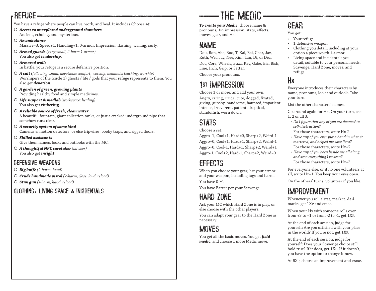### REFUGE

You have a refuge where people can live, work, and heal. It includes (choose 4):

 *Access to unexplored underground chambers* Ancient, echoing, and mysterious.

#### *An ambulance*

Massive=3, Speed+1, Handling+1, 0-armor. Impression: flashing, wailing, surly.

 *Armed guards (gang:small, 2-harm 1-armor)* You also get *leadership*.

#### *Armored walls*

In battle, your refuge is a secure defensive position.

- *A cult (following: small; devotions: comfort, worship; demands: teaching, worship)* Worshipers of the (circle 1) ghosts / life / gods that your refuge represents to them. You also get *devotion*.
- *A garden of green, growing plants* Providing healthy food and simple medicines.
- *Life support & medlab (workspace: healing)* You also get *tinkering*.
- *A reliable source of fresh, clean water* A beautiful fountain, giant collection tanks, or just a cracked underground pipe that somehow runs clear.
- *A security system of some kind* Cameras & motion detectors, or else tripwires, booby traps, and rigged floors.
- *Skilled assistants* Give them names, looks and outlooks with the MC.
- *A thoughtful NPC caretaker (advisor)* You also get *insight*.

#### DEFENSIVE WEAPONS

- *Big knife (2-harm, hand)*
- *Crude handmade pistol (2-harm, close, loud, reload)*
- *Stun gun (s-harm, hand, reload)*

#### CLOTHING, LIVING SPACE & INCIDENTALS

# THE MEDIC

*To create your Medic*, choose name & pronouns, 1st impression, stats, effects, moves, gear, and Hx.

### NAME

Dou, Bon, Abe, Boo, T, Kal, Bai, Char, Jav, Ruth, Wei, Jay, Nee, Kim, Lan, Di, or Dez. Doc, Core, Wheels, Buzz, Key, Gabe, Biz, Bish, Line, Inch, Grip, or Setter.

Choose your pronouns.

## 1st IMPRESSION

Choose 1 or more, and add your own: Angry, caring, crude, cute, dogged, fixated, giving, gunshy, handsome, haunted, impatient, intense, irreverent, patient, skeptical, standoffish, worn down.

## STATS

Choose a set:

Aggro+1, Cool+1, Hard=0, Sharp+2, Weird-1 Aggro=0, Cool+1, Hard+1, Sharp+2, Weird-1 Aggro=0, Cool-1, Hard+1, Sharp+2, Weird+1 Aggro-1, Cool+2, Hard-1, Sharp+2, Weird=0

## EFFECTS

When you choose your gear, list your armor and your weapon, including tags and harm. You have 0-Ψ.

You have Barter per your Scavenge.

## HARD ZONE

Ask your MC which Hard Zone is in play, or else choose with the other players.

You can adapt your gear to the Hard Zone as necessary.

### **MOVES**

You get all the basic moves. You get *field medic*, and choose 1 more Medic move.

## GEAR

You get:

- Your refuge.
- 1 defensive weapon.
- Clothing you detail, including at your option a piece worth 1-armor.
- Living space and incidentals you detail, suitable to your personal needs, Scavenge, Hard Zone, moves, and refuge.

### Hx

Everyone introduces their characters by name, pronouns, look and outlook. Take your turn.

List the other characters' names.

Go around again for Hx. On your turn, ask 1, 2 or all 3:

- *• Do I figure that any of you are doomed to self-destruction?*
- For those characters, write Hx-2.
- *• Have any of you ever put a hand in when it mattered, and helped me save lives?* For those characters, write Hx+2.
- *• Have any of you been beside me all along, and seen everything I've seen?* For those characters, write Hx+3.

For everyone else, or if no one volunteers at all, write Hx+1. You keep your eyes open.

On the others' turns, volunteer if you like.

### IMPROVEMENT

Whenever you roll a stat, mark it. At 4 marks, get 1Xp and erase.

When your Hx with someone rolls over from  $+3$  to  $+1$  or from  $-2$  to  $-1$ , get 1XP.

At the end of each session, judge for yourself: Are you satisfied with your place in the world? If you're not, get 1Xp.

At the end of each session, judge for yourself: Does your Scavenge choice still hold true? If it does, get 1Xp. If it doesn't, you have the option to change it now.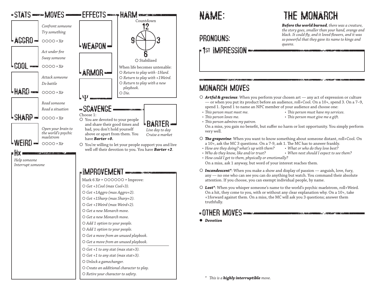

#### PRONOUNS:

### **Fist IMPRESSION**

# THE MONARCH

*Before the world burned, there was a creature, the story goes, smaller than your hand, orange and black. It could fly, and it loved flowers, and it was so powerful that they gave its name to kings and queens.*

### MONARCH MOVES

- *Artful & gracious*: When you perform your chosen art any act of expression or culture — or when you put its product before an audience, roll+Cool. On a 10+, spend 3. On a 7–9, spend 1. Spend 1 to name an NPC member of your audience and choose one:
- 
- *• This person must meet me. • This person must have my services.*

1. 人名英格兰人姓氏卡尔的变体 医心包 医心包 化合金 化

- *• This person loves me. • This person must give me a gift.*
- 
- *• This person admires my patron.*

On a miss, you gain no benefit, but suffer no harm or lost opportunity. You simply perform very well.

- *The grapevine*: When you want to know something about someone distant, roll+Cool. On a 10+, ask the MC 3 questions. On a 7-9, ask 1. The MC has to answer frankly.
- *• How are they doing? what's up with them? • What or who do they love best?*
- Who do they know, like and/or trust?
- *• How could I get to them, physically or emotionally?* On a miss, ask 1 anyway, but word of your interest reaches them.
- *Incandescent\**: When you make a show and display of passion anguish, love, fury, any — no one who can see you can do anything but watch. You command their absolute attention. If you choose, you can exempt individual people, by name.
- *Lost\**: When you whisper someone's name to the world's psychic maelstrom, roll+Weird. On a hit, they come to you, with or without any clear explanation why. On a 10+, take +1forward against them. On a miss, the MC will ask you 3 questions; answer them truthfully.

### OTHER MOVES

*Devotion*

*\* This is a highly interruptible move.*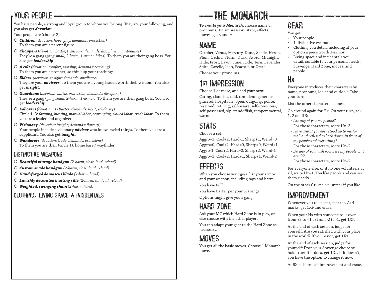### YOUR PEOPLE

You have people, a strong and loyal group to whom you belong. They are your following, and you also get *devotion*.

Your people are (choose 2):

- *Children (devotion: hope, play; demands: protection)* To them you are a parent figure.
- *Choppers* (*devotion: battle, transport; demands: discipline, maintenance)* They're a gang (*gang:small, 2-harm, 1-armor, bikes).* To them you are their gang boss. You also get *leadership*.
- *A cult (devotion: comfort, worship; demands: teaching)* To them you are a prophet, so think up your teachings.
- *Elders (devotion: insight; demands: obedience)* They are your *advisors*. To them you are a young leader, worth their wisdom. You also get *insight*.
- *Guardians* (*devotion: battle, protection; demands: discipline)* They're a gang (*gang:small, 2-harm, 1-armor).* To them you are their gang boss. You also get *leadership*.
- *Laborers (devotion: +1Barter; demands: R&R, solidarity)* Circle 1–3: *farming*, *hunting*, *manual labor*, *scavenging*, *skilled labor*, *trade labor*. To them you are a leader and organizer.
- *Visionary (devotion: insight; demands: flattery)* Your people include a visionary *advisor* who knows weird things. To them you are a supplicant. You also get *insight*.
- *Wanderers (devotion: trade; demands: provisions)* To them you are their (circle 1): home base / wayfinder.

#### DISTINCTIVE WEAPONS

- *Beautiful vintage handgun (2-harm, close, loud, reload)*
- *Custom-made handgun (2-harm, close, loud, reload)*
- *Hand-forged damascus blade (2-harm, hand)*
- *Lavishly decorated hunting rifle (2-harm, far, loud, reload)*
- *Weighted, swinging chain (2-harm, hand)*

#### CLOTHING, LIVING SPACE & INCIDENTALS

# THE MONARCH

*To create your Monarch*, choose name & pronouns, 1st impression, stats, effects, moves, gear, and Hx.

### NAME

October, Venus, Mercury, Dune, Shade, Heron, Plum, Orchid, Storm, Dusk, Sword, Midnight, Hide, Frost, Lawn, June, Icicle, Tern, Lavender, Spice, Gazelle, Lion, Peacock, or Grace.

Choose your pronouns.

## 1st IMPRESSION

Choose 1 or more, and add your own:

Caring, clannish, cold, confident, generous, graceful, hospitable, open, outgoing, polite, reserved, retiring, self-aware, self-conscious, self-possessed, sly, standoffish, temperamental, warm.

## STATS

Choose a set:

Aggro+1, Cool+2, Hard-1, Sharp+1, Weird=0 Aggro=0, Cool+2, Hard=0, Sharp=0, Weird+1 Aggro-1, Cool+2, Hard=0, Sharp+2, Weird-1 Aggro+1, Cool+2, Hard+1, Sharp+1, Weird-2

### EFFECTS

When you choose your gear, list your armor and your weapon, including tags and harm. You have 0-Ψ.

You have Barter per your Scavenge.

Options might give you a gang.

## HARD ZONE

Ask your MC which Hard Zone is in play, or else choose with the other players.

You can adapt your gear to the Hard Zone as necessary.

### **MOVES**

You get all the basic moves. Choose 1 Monarch move.

## GEAR

You get:

- Your people.
- 1 distinctive weapon.
- Clothing you detail, including at your option a piece worth 1-armor.
- Living space and incidentals you detail, suitable to your personal needs, Scavenge, Hard Zone, moves, and people.

### Hx

Everyone introduces their characters by name, pronouns, look and outlook. Take your turn.

List the other characters' names.

Go around again for Hx. On your turn, ask 1, 2 or all 3:

- *• Are any of you my people?* For those characters, write Hx+3.
- *• Have any of you ever stood up to me for real, and refused to back down, in front of my people and everything?* For those characters, write Hx+2.
- *• Do any of you wish you were my people, but aren't?*

For those characters, write Hx+2.

For everyone else, or if no one volunteers at all, write Hx+1. You like people and can see them clearly.

On the others' turns, volunteer if you like.

### IMPROVEMENT

Whenever you roll a stat, mark it. At 4 marks, get 1Xp and erase.

When your Hx with someone rolls over from  $+3$  to  $+1$  or from  $-2$  to  $-1$ , get  $1XP$ .

At the end of each session, judge for yourself: Are you satisfied with your place in the world? If you're not, get 1Xp.

At the end of each session, judge for yourself: Does your Scavenge choice still hold true? If it does, get 1Xp. If it doesn't, you have the option to change it now.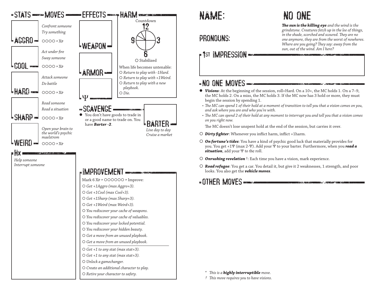

### PRONOUNS:

### 1st IMPRESSION

#### NO ONE MOVES

- *Visions*: At the beginning of the session, roll+Hard. On a 10+, the MC holds 1. On a 7–9, the MC holds 2. On a miss, the MC holds 3. If the MC now has 3 hold or more, they must begin the session by spending 1.
- *• The MC can spend 1 of their hold at a moment of transition to tell you that a vision comes on you, and ask where you are and who you're with.*
- *• The MC can spend 2 of their hold at any moment to interrupt you and tell you that a vision comes on you right now.*

The MC doesn't lose unspent hold at the end of the session, but carries it over.

- *Dirty fighter*: Whenever you inflict harm, inflict +1harm.
- *On fortune's tides*: You have a kind of psychic good luck that materially provides for you. You get +1Ψ (max 2-Ψ). Add your Ψ to your barter. Furthermore, when you *read a situation*, add your Ψ to the roll.
- *Onrushing revelation* †: Each time you have a vision, mark experience.
- *Road refugee*: You get a car. You detail it, but give it 2 weaknesses, 1 strength, and poor looks. You also get the *vehicle moves*.

#### **COTHER MOVES DOCUMENT CONTINUES AND DESCRIPTION**

- *\* This is a highly interruptible move.*
- *† This move requires you to have visions.*

## NO ONE

*The sun is the killing eye and the wind is the grindstone. Creatures fetch up in the lee of things, in the shade, scorched and scoured. They are no one anymore, they are from the worst of nowheres. Where are you going? They say: away from the sun, out of the wind. Am I here?*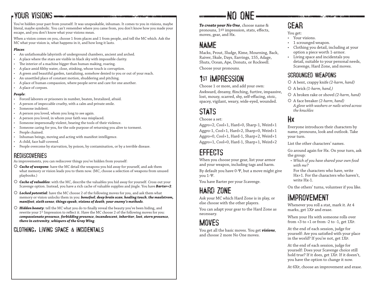### YOUR VISIONS

You've hidden your past from yourself. It was unspeakable, inhuman. It comes to you in visions, maybe literal, maybe symbolic. You can't remember where you came from, you don't know how you made your escape, and you don't know what your visions mean.

When a vision comes on you, choose 1 from places and 1 from people, and tell the MC which. Ask the MC what your vision is, what happens in it, and how long it lasts.

#### *Places*:

- An unfathomable labyrinth of underground chambers, ancient and arched.
- A place where the stars are visible in black sky with impossible clarity.
- The interior of a machine bigger than human making, roaring.
- A place amid filthy water, close, stinking, whose touch is corruption.
- A green and beautiful garden, tantalizing, somehow denied to you or out of your reach.
- An unsettled place of constant motion, shuddering and pitching.
- A place of human compassion, where people serve and care for one another.
- A place of corpses.

#### *People*:

- Forced laborers or prisoners in number, beaten, brutalized, afraid.
- A person of impeccable cruelty, with a calm and private smile.
- Someone indolent.
- A person you loved, whom you long to see again.
- A person you loved, in whom your faith was misplaced.
- Someone impersonally violent, bearing the tools of their violence.
- Someone caring for you, for the sole purpose of returning you alive to torment.
- People chained.
- Inhuman beings, moving and acting with manifest intelligence.
- A child, face half-covered.
- People overcome by starvation, by poison, by contamination, or by a terrible disease.

#### **REDISCOVERIES**

As improvements, you can rediscover things you've hidden from yourself:

- *Cache of weapons*: have the MC detail the weapons you hid away for yourself, and ask them what memory or vision leads you to them now. (MC, choose a selection of weapons from unused playbooks.)
- *Cache of valuables*: with the MC, describe the valuables you hid away for yourself. Cross out your Scavenge option. Instead, you have a rich cache of valuable supplies and jingle. You have *Barter+2*.
- *Locked potential*: have the MC choose 2 of the following moves for you, and ask them what memory or vision unlocks them in you: *bonefeel*; *deep brain scan*; *healing touch*; *the maelstrom, manifest*; *sixth sense*; *things speak*; *visions of death*; *your enemy's methods*.
- *Hidden beauty*: tell the MC what you do to finally reveal the beauty you've been hiding, and rewrite your 1st Impression to reflect it. Have the MC choose 2 of the following moves for you: *compassionate presence*, *forbidding presence*, *incandescent*, *inheritor*, *lost*, *stern presence*, *there in extremity*, *whispers of the Gray Wing*.

#### CLOTHING, LIVING SPACE & INCIDENTALS

## NO ONE

*To create your No One*, choose name & pronouns, 1st impression, stats, effects, moves, gear, and Hx.

### NAME

Macks, Prout, Sludge, Kime, Mourning, Back, Raiver, Skale, Days, Earrings, 155, Adage, Shuts, Ocean, Ape, Donuts, or Rockwell.

Choose your pronouns.

## 1st IMPRESSION

Choose 1 or more, and add your own:

Awkward, dreamy, flinching, furtive, impassive, lost, mousy, scarred, shy, self-effacing, stoic, spacey, vigilant, weary, wide-eyed, wounded.

## STATS

Choose a set:

Aggro+2, Cool+1, Hard=0, Sharp-1, Weird+1 Aggro-1, Cool+1, Hard+2, Sharp=0, Weird+1 Aggro=0, Cool+1, Hard-1, Sharp+2, Weird+1 Aggro+1, Cool=0, Hard-1, Sharp+1, Weird+2

### EFFECTS

When you choose your gear, list your armor and your weapon, including tags and harm.

By default you have 0-Ψ, but a move might give you 1-Ψ.

You have Barter per your Scavenge.

## HARD ZONE

Ask your MC which Hard Zone is in play, or else choose with the other players.

You can adapt your gear to the Hard Zone as necessary.

### **MOVES**

You get all the basic moves. You get *visions*, and choose 2 more No One moves.

## GEAR

You get:

- Your visions.
- 1 scrounged weapon.
- Clothing you detail, including at your option a piece worth 1-armor.
- Living space and incidentals you detail, suitable to your personal needs, Scavenge, Hard Zone, and moves.

#### SCROUNGED WEAPONS

A bent, crappy knife *(2-harm, hand)*

- A brick *(1-harm, hand,)*
- A broken rake or shovel *(2-harm, hand)*
- A face breaker *(2-harm, hand) A glove with washers or nails wired across the knuckles*

#### Hx

Everyone introduces their characters by name, pronouns, look and outlook. Take your turn.

List the other characters' names.

- Go around again for Hx. On your turn, ask the group:
- *• Which of you have shared your own food with me?*

For the characters who have, write Hx+1. For the characters who haven't, write Hx-1.

On the others' turns, volunteer if you like.

### IMPROVEMENT

Whenever you roll a stat, mark it. At 4 marks, get 1Xp and erase.

When your Hx with someone rolls over from  $+3$  to  $+1$  or from  $-2$  to  $-1$ , get  $1XP$ .

At the end of each session, judge for yourself: Are you satisfied with your place in the world? If you're not, get 1Xp.

At the end of each session, judge for yourself: Does your Scavenge choice still hold true? If it does, get 1Xp. If it doesn't, you have the option to change it now.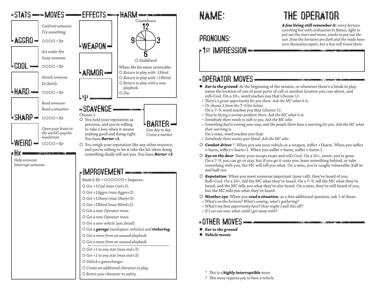

### PRONOUNS:

### **Fist IMPRESSION**

# THE OPERATOR

*A few living still remember it: every horizon scorching hot with civilization in flames, light to put out the stars and moon, smoke to put out the sun. Now the horizons are dark and the roads have torn themselves apart, but a few still travel them.*

#### OPERATOR MOVES

- *Ear to the ground*: At the beginning of the session, or whenever there's a break in play, name the location of one of your ports of call or another location you care about, and roll+Cool. On a 10+, word reaches you that (choose 1):
- *• There's a great opportunity for you there. Ask the MC what it is.*
- *• Or choose 1 from the 7–9 list below.* On a 7–9, word reaches you that (choose 1):
- *• They're facing a serious problem there. Ask the MC what it is.*
- *• Somebody there needs to talk to you. Ask the MC who.*
- *• Something bad is coming your way, and the people there have a warning for you. Ask the MC what their warning is.*

On a miss, word reaches you that:

*• Somebody there wants your blood. Ask the MC who.*

- *Combat driver* †: When you use your vehicle as a weapon, inflict +1harm. When you inflict v-harm, inflict v-harm+1. When you suffer v-harm, suffer v-harm-1.
- *Eye on the door*: Name your escape route and roll+Cool. On a 10+, sweet, you're gone. On a 7–9, you can go or stay, but if you go it costs you: leave something behind, or take something with you, the MC will tell you what. On a miss, you're caught vulnerable, half in and half out.
- *Reputation*: When you meet someone important (your call), they've heard of you. Roll+Cool. On a 10+, tell the MC what they've heard. On a 7–9, tell the MC what they've heard, and the MC tells you what they've *also* heard. On a miss, they've still heard of you, but the MC tells you what they've heard.
- *Weather eye*: When you *read a situation*, as a free additional question, ask 1 of these:
- *• What's on the horizon? What's coming, what's gathering?*
- *• What's my best opportunity here? How might I pull this off?*
- *• If I cut out now, what could I get away with?*

#### **OTHER MOVES DOCUMENT IN THE REPORT OF A SECOND CONTRACT**

- *Ear to the ground*
- *Vehicle moves*

*\* This is a highly interruptible move.*

*† This move requires you to have a vehicle.*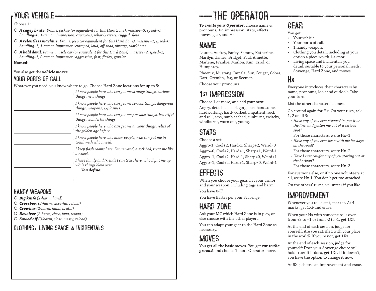### YOUR VEHICLE

Choose 1:

- *A cagey brute*. *Frame: pickup (or equivalent for this Hard Zone), massive=3, speed=0, handling=0, 1-armor. Impression: capacious, rebar & rivets, rugged, slow.*
- *A relentless machine*. *Frame: jeep (or equivalent for this Hard Zone), massive=2, speed=0, handling+1, 1-armor. Impression: cramped, loud, off-road, vintage, workhorse.*
- *A bold devil*. *Frame: muscle car (or equivalent for this Hard Zone), massive=2, speed+1, handling+1, 0-armor. Impression: aggressive, fast, flashy, guzzler.*

**Named**:

#### You also get the *vehicle moves*.

#### YOUR PORTS OF CALL

Whatever you need, you know where to go. Choose Hard Zone locations for up to 5:

| $\alpha$ ratever you need, you know where to go. Choose mard zone locations for up to $\beta$ : |
|-------------------------------------------------------------------------------------------------|
| I know people here who can get me strange things, curious<br>things, new things.                |
| I know people here who can get me serious things, dangerous<br>things, weapons, explosives.     |
| I know people here who can get me precious things, beautiful<br>things, wonderful things.       |
| I know people here who can get me ancient things, relics of<br>the golden age before.           |
| I know people here who know people, who can put me in<br>touch with who I need.                 |
| I keep flash rooms here. Dinner-and, a soft bed, treat me like<br>a wheel.                      |
| I have family and friends I can trust here, who'll put me up<br>while things blow over.         |
| You define:                                                                                     |
|                                                                                                 |
|                                                                                                 |

#### HANDY WEAPONS

- *Big knife (2-harm, hand)*
- *Crossbow (2-harm, close-far, reload)*
- *Crowbar (2-harm, hand, brutal)*
- *Revolver (2-harm, close, loud, reload)*
- *Sawed off (3-harm, close, messy, reload)*

#### CLOTHING, LIVING SPACE & INCIDENTALS

# **-THE OPERATOR**

*To create your Operator*, choose name & pronouns, 1st impression, stats, effects, moves, gear, and Hx.

### NAME

Lauren, Audrey, Farley, Sammy, Katherine, Marilyn, James, Bridget, Paul, Annette, Marlene, Frankie, Marlon, Kim, Errol, or Humphrey.

Phoenix, Mustang, Impala, Suv, Cougar, Cobra, Dart, Gremlin, Jag, or Beemer.

Choose your pronouns.

## 1st IMPRESSION

Choose 1 or more, and add your own:

Angry, detached, cool, gorgeous, handsome, hardworking, hard-worked, impatient, rock and roll, sexy, sunbleached, sunburnt, twitchy, windburnt, worn out, young.

## STATS

Choose a set:

Aggro-1, Cool+2, Hard-1, Sharp+2, Weird=0 Aggro=0, Cool+2, Hard+1, Sharp+1, Weird-1 Aggro+1, Cool+2, Hard-1, Sharp=0, Weird+1 Aggro+1, Cool+2, Hard+1, Sharp=0, Weird-1

### **FFFECTS**

When you choose your gear, list your armor and your weapon, including tags and harm. You have 0-Ψ.

You have Barter per your Scavenge.

## HARD ZONE

Ask your MC which Hard Zone is in play, or else choose with the other players.

You can adapt your gear to the Hard Zone as necessary.

### **MOVES**

You get all the basic moves. You get *ear to the ground*, and choose 1 more Operator move.

## GEAR

- You get:
- Your vehicle.
- Your ports of call.
- 1 handy weapon.
- Clothing you detail, including at your option a piece worth 1-armor.
- Living space and incidentals you detail, suitable to your personal needs, Scavenge, Hard Zone, and moves.

### Hx

Everyone introduces their characters by name, pronouns, look and outlook. Take your turn.

List the other characters' names.

Go around again for Hx. On your turn, ask 1, 2 or all 3:

- *• Have any of you ever stepped in, put it on the line, and gotten me out of a serious spot?*
- For those characters, write Hx+1.
- *• Have any of you ever been with me for days on the road?*
- For those characters, write Hx+2.
- *• Have I ever caught any of you staring out at the horizon?*

For those characters, write Hx+3.

For everyone else, or if no one volunteers at all, write Hx-1. You don't get too attached.

On the others' turns, volunteer if you like.

### IMPROVEMENT

Whenever you roll a stat, mark it. At 4 marks, get 1Xp and erase.

When your Hx with someone rolls over from  $+3$  to  $+1$  or from  $-2$  to  $-1$ , get  $1XP$ .

At the end of each session, judge for yourself: Are you satisfied with your place in the world? If you're not, get 1Xp.

At the end of each session, judge for yourself: Does your Scavenge choice still hold true? If it does, get 1Xp. If it doesn't, you have the option to change it now.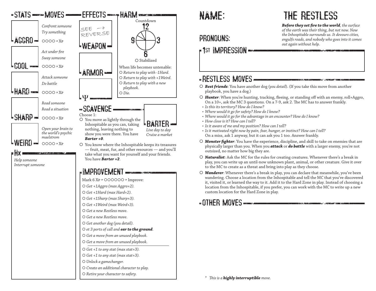

### PRONOUNS:

### **Fist IMPRESSION**

#### -RESTLESS MOVES **----**

- *Best friends*: You have another dog (*you detail*). (If you take this move from another playbook, you have a dog.)
- *Hunter*: When you're hunting, tracking, fleeing, or standing off with an enemy, roll+Aggro, On a 10+, ask the MC 3 questions. On a 7-9, ask 2. The MC has to answer frankly.
- *• Is this its territory? How do I know?*
- *• Where would it go for safety? How do I know?*
- *• Where would it go for the advantage in an encounter? How do I know?*
- *• How close is it? How can I tell?*
- *• Is it aware of me and my position? How can I tell?*
- *• Is it motivated right now by pain, fear, hunger, or instinct? How can I tell?* On a miss, ask 1 anyway, but it can ask you 1 too. Answer frankly.
- *Monster fighter*: You have the experience, discipline, and skill to take on enemies that are physically larger than you. When you *attack* or *do battle* with a larger enemy, you're not outsized, no matter how big they are.
- *Naturalist*: Ask the MC for the rules for creating creatures. Whenever there's a break in play, you can write up an until-now unknown plant, animal, or other creature. Give it over to the MC to create as a threat and bring into play as they choose.
- *Wanderer*: Whenever there's a break in play, you can declare that meanwhile, you've been wandering. Choose a location from the Inhospitable and tell the MC that you've discovered it, visited it, or learned the way to it. Add it to the Hard Zone in play. Instead of choosing a location from the Inhospitable, if you prefer, you can work with the MC to write up a new custom location for the Hard Zone in play.

and the company of the company of the state of the company of the company of the company of the company of the company of the company of the company of the company of the company of the company of the company of the compan

#### **OTHER MOVES**

*\* This is a highly interruptible move.*

# THE RESTLESS

*Before they set fire to the world, the surface of the earth was their thing, but not now. Now the Inhospitable surrounds us. It devours cities, engulfs roads, and nobody who goes into it comes out again without help.*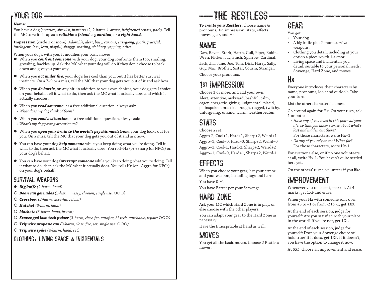### YOUR DOG

#### **Name**:

You have a dog (*creature, size=1*×*, instincts+2, 2-harm, 1-armor, heightened senses, pack*). Tell the MC to write it up as a *reliable*: a *friend*, a *guardian*, or a *right hand*.

**Impression** (circle 1 or more): *Adorable, alert, busy, curious, easygoing, goofy, graceful, intelligent, lazy, lean, playful, shaggy, snarling, slobbery, yapping, other*:

When your dog's with you, it modifies your basic moves:

- When you *confront someone* with your dog, your dog confronts them too, snarling, growling, hackles up. Ask the MC what your dog will do if they don't choose to back down and give you your way.
- When you *act under fire*, your dog's less cool than you, but it has better survival instincts. On a 7–9 or a miss, tell the MC that your dog gets you out of it and ask how.
- When you *do battle*, on any hit, in addition to your own choices, your dog gets 1choice on your behalf. Tell it what to do, then ask the MC what it actually does and which it actually chooses.
- When you *read someone*, as a free additional question, always ask:
- *• What does my dog think of them?*
- When you *read a situation*, as a free additional question, always ask:
- *• What's my dog paying attention to?*
- When you *open your brain to the world's psychic maelstrom*, your dog looks out for you. On a miss, tell the MC that your dog gets you out of it and ask how.
- You can have your dog *help someone* while you keep doing what you're doing. Tell it what to do, then ask the MC what it actually does. You roll+Hx (or +Sharp for NPCs) on your dog's behalf.
- You can have your dog *interrupt someone* while you keep doing what you're doing. Tell it what to do, then ask the MC what it actually does. You roll+Hx (or +Aggro for NPCs) on your dog's behalf.

#### SURVIVAL WEAPONS

- *Big knife (2-harm, hand)*
- *Bean can gernades (3-harm, messy, thrown, single use: )*
- *Crossbow (2-harm, close-far, reload)*
- *Hatchet (3-harm, hand)*
- *Machete (3-harm, hand, brutal)*
- *Scavenged lost-tech pulser (3-harm, close-far, autofire, hi-tech, unreliable, repair: )*
- *Tripwire propane can (3-harm, close, fire, set, single use: )*
- *Tripwire spike (4-harm, hand, set)*

#### CLOTHING, LIVING SPACE & INCIDENTALS

# **EXAMPLE RESTLESS**

*To create your Restless*, choose name & pronouns, 1st impression, stats, effects, moves, gear, and Hx.

### NAME

Daw, Raven, Stork, Hatch, Gull, Piper, Robin, Wren, Flicker, Jay, Finch, Sparrow, Cardinal. Jack, Jill, Jane, Joe, Tom, Dick, Harry, Sally, Guy, Mac, Brother, Sister, Cousin, Stranger. Choose your pronouns.

## 1st IMPRESSION

Choose 1 or more, and add your own: Alert, attentive, awkward, bashful, calm, eager, energetic, giving, judgmental, placid, plainspoken, practical, rough, rugged, twitchy, unforgiving, unkind, warm, weatherbeaten.

## STATS

Choose a set:

Aggro-2, Cool+1, Hard+1, Sharp+2, Weird+1 Aggro+1, Cool=0, Hard=0, Sharp+2, Weird=0 Aggro+1, Cool-1, Hard-2, Sharp+2, Weird+2 Aggro+1, Cool=0, Hard+1, Sharp+2, Weird-1

## EFFECTS

When you choose your gear, list your armor and your weapon, including tags and harm. You have 0-Ψ.

You have Barter per your Scavenge.

## HARD ZONE

Ask your MC which Hard Zone is in play, or else choose with the other players.

You can adapt your gear to the Hard Zone as necessary.

Have the Inhospitable at hand as well.

## **MOVES**

You get all the basic moves. Choose 2 Restless moves.

### GEAR

You get:

- Your dog.
- A big knife plus 2 more survival weapons.
- Clothing you detail, including at your option a piece worth 1-armor.
- Living space and incidentals you detail, suitable to your personal needs, Scavenge, Hard Zone, and moves.

### Hx

Everyone introduces their characters by name, pronouns, look and outlook. Take your turn.

List the other characters' names.

Go around again for Hx. On your turn, ask 1 or both:

- *• Have any of you lived in this place all your life, so that you know stories about what's lost and hidden out there?*
- For those characters, write Hx+1.
- *• Do any of you rely on me? What for?* For those characters, write Hx-1.

For everyone else, or if no one volunteers at all, write Hx-1. You haven't quite settled here yet.

On the others' turns, volunteer if you like.

## IMPROVEMENT

Whenever you roll a stat, mark it. At 4 marks, get 1Xp and erase.

When your Hx with someone rolls over from  $+3$  to  $+1$  or from  $-2$  to  $-1$ , get 1XP.

At the end of each session, judge for yourself: Are you satisfied with your place in the world? If you're not, get 1Xp.

At the end of each session, judge for yourself: Does your Scavenge choice still hold true? If it does, get 1Xp. If it doesn't, you have the option to change it now.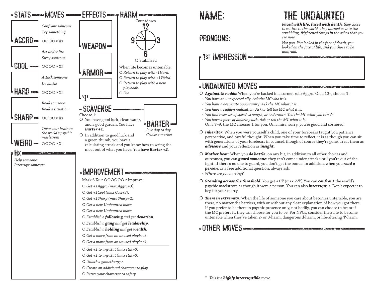

### PRONOUNS:

### 1st IMPRESSION

# THE UNDAUNTED

*Faced with life, faced with death, they chose to set fire to the world. They burned us into the scrabbling, frightened things in the ashes that you see now.*

*Not you. You looked in the face of death, you looked on the face of life, and you chose to be unafraid.*

#### UNDAUNTED MOVES

*Against the odds*: When you're backed in a corner, roll+Aggro. On a 10+, choose 1:

- *• You have an unexpected ally. Ask the MC who it is.*
- *• You have a desperate opportunity. Ask the MC what it is.*
- *• You have a sudden realization. Ask or tell the MC what it is.*
- *• You find reserves of speed, strength, or endurance. Tell the MC what you can do.*
- *• You have a piece of amazing luck. Ask or tell the MC what it is.* On a 7–9, the MC chooses 1 for you. On a miss, sorry, you're good and cornered.
- *Inheritor*: When you were yourself a child, one of your forebears taught you patience, perspective, and careful thought. When you take time to reflect, it is as though you can sit with generations of your forebears in counsel, though of course they're gone. Treat them as *advisors* and your reflection as *insight*.
- *Mother bear*: When you *do battle*, on any hit, in addition to all other choices and outcomes, you can *guard someone*: they can't come under attack until you're out of the fight. If there's no one to guard, you don't get the bonus. In addition, when you *read a person*, as a free additional question, always ask:
- *• Where are you hurting?*
- *Standing across the threshold*: You get +1Ψ (max 2-Ψ).You can *confront* the world's psychic maelstrom as though it were a person. You can also *interrupt* it. Don't expect it to beg for your mercy.
- *There in extremity*: When the life of someone you care about becomes untenable, you are there, no matter the barriers, with or without any clear explanation of how you got there. If you prefer to be there in psychic presence only, not bodily, you can choose to be; or if the MC prefers it, they can choose for you to be. For NPCs, consider their life to become untenable when they've taken 2- or 3-harm, dangerous d-harm, or life-altering Ψ-harm.

### **-OTHER MOVES INTERNATIONAL CONTRACTOR**

*\* This is a highly interruptible move.*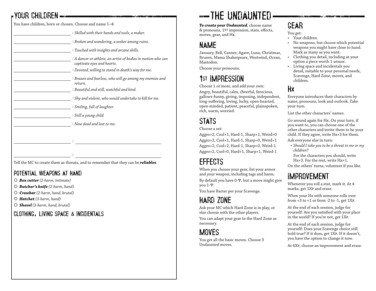### YOUR CHILDREN

You have children, born or chosen. Choose and name 1–4:

| : Skilled with their hands and tools, a maker.                                               |
|----------------------------------------------------------------------------------------------|
| : Broken and wandering, a seeker among ruins.                                                |
| : Touched with insights and arcane skills.                                                   |
| $:$ A dancer or athlete, an artist of bodies in motion who can<br>captivate eyes and hearts. |
| : Devoted, willing to stand in death's way for me.                                           |
| : Brazen and fearless, who will go among my enemies and<br>return.                           |
| : Beautiful and still, watchful and kind.                                                    |
| : Shy and violent, who would undertake to kill for me.                                       |
| : Smiling, full of laughter.                                                                 |
| : Still a young child.                                                                       |
| : Now dead and lost to me.                                                                   |
|                                                                                              |
|                                                                                              |
|                                                                                              |
|                                                                                              |

Tell the MC to create them as threats, and to remember that they can be *reliables*.

#### POTENTIAL WEAPONS AT HAND

- *Box cutter (2-harm, intimate)*
- *Butcher's knife (2-harm, hand)*
- *Crowbar (2-harm, hand, brutal)*
- *Hatchet (3-harm, hand)*
- *Shovel (3-harm, hand, brutal)*

CLOTHING, LIVING SPACE & INCIDENTALS

# -THE UNDAUNTED

*To create your Undaunted*, choose name & pronouns, 1st impression, stats, effects, moves, gear, and Hx.

### NAME

January, Bell, Canner, Agave, Luna, Christmas, Brusen, Mama Shakespeare, Westwind, Ocean, Mastodon.

Choose your pronouns.

## 1st IMPRESSION

Choose 1 or more, and add your own: Angry, beautiful, calm, cheerful, ferocious, gallows-funny, giving, imposing, independent, long-suffering, loving, lucky, open-hearted, open-minded, patient, peaceful, plainspoken, rich, warm, worried.

## STATS

Choose a set:

Aggro+2, Cool+1, Hard-1, Sharp+1, Weird=0 Aggro+2, Cool+1, Hard-1, Sharp=0, Weird+1 Aggro+2, Cool+2, Hard-1, Sharp=0, Weird-1 Aggro+2, Cool=0, Hard+1, Sharp+1, Weird-1

### EFFECTS

When you choose your gear, list your armor and your weapon, including tags and harm. By default you have 0-Ψ, but a move might give you 1-Ψ.

You have Barter per your Scavenge.

## HARD ZONE

Ask your MC which Hard Zone is in play, or else choose with the other players.

You can adapt your gear to the Hard Zone as necessary.

### **MOVES**

You get all the basic moves. Choose 3 Undaunted moves.

## GEAR

You get:

- Your children.
- No weapons, but choose which potential weapons you might have close to hand. Mark as many as you want.
- Clothing you detail, including at your option a piece worth 1-armor.
- Living space and incidentals you detail, suitable to your personal needs, Scavenge, Hard Zone, moves, and children.

#### Hx

Everyone introduces their characters by name, pronouns, look and outlook. Take your turn.

List the other characters' names.

Go around again for Hx. On your turn, if you want to, you can choose one of the other characters and invite them to be your child. If they agree, write Hx+3 for them.

- Ask everyone else in turn:
- *• Should I take you to be a threat to me or my children?*
- For the characters you should, write Hx+3. For the rest, write Hx+1.

On the others' turns, volunteer if you like.

### IMPROVEMENT

Whenever you roll a stat, mark it. At 4 marks, get 1Xp and erase.

When your Hx with someone rolls over from  $+3$  to  $+1$  or from  $-2$  to  $-1$ , get  $1XP$ .

At the end of each session, judge for yourself: Are you satisfied with your place in the world? If you're not, get 1Xp.

At the end of each session, judge for yourself: Does your Scavenge choice still hold true? If it does, get 1Xp. If it doesn't, you have the option to change it now.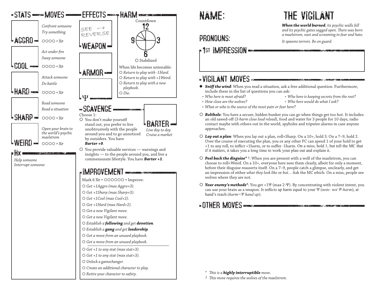

PRONOUNS:

### **Fist IMPRESSION**

#### VIGILANT MOVES

- **Sniff the wind**: When you read a situation, ask a free additional question. Furthermore, include these in the list of questions you can ask:
- 
- *• Who here is most afraid? • Who here is keeping secrets from the rest?*

。<br>1. 《大学研究》《《广告》》《《广告》》《《广告》《《广告》《《广告》》《《广告》》《《广告》》

- *• How close are the wolves? • Who here would do what I ask?*
- *• What or who is the source of the most pain or fear here?*
- *Bolthole*: You have a secure, hidden bunker you can go when things get too hot. It includes: an old sawed-off (*3-harm close loud reload*), food and water for 3 people for 10 days, radio contact maybe with others out in the world, spyholes and tripwire alarms in case anyone approaches.
- *Lay out a plan*: When you lay out a plan, roll+Sharp. On a 10+, hold 3. On a 7–9, hold 2. Over the course of executing the plan, you or any other PC can spend 1 of your hold to get +1 to any roll, to inflict +1harm, or to suffer -1harm. On a miss, hold 1, but tell the MC that if it matters, it takes you a long time to work your plan out and explain it.
- *Peel back the disguise\** †: When you are present with a wolf of the maelstrom, you can choose to roll+Weird. On a 10+, everyone here sees them clearly, albeit for only a moment, before their disguise reasserts itself. On a 7–9, people catch a glimpse, unclearly, and get an impression of either *what they look like* or *but…* Ask the MC which. On a miss, people see wolves where they are not.
- *Your enemy's methods\**: You get +1Ψ (max 2-Ψ). By concentrating with violent intent, you can use your brain as a weapon. It inflicts ap harm equal to your Ψ (*note: not Ψ-harm*), at hand's reach (*harm=Ψ hand ap*).

**UTHER MOVES** 

*\* This is a highly interruptible move.*

*† This move requires the wolves of the maelstrom.*

# THE VIGILANT

*When the world burned, its psychic walls fell and its psychic gates sagged open. There was born a maelstrom, vast and screaming in fear and hate.*

*It spawns terrors. Be on guard.*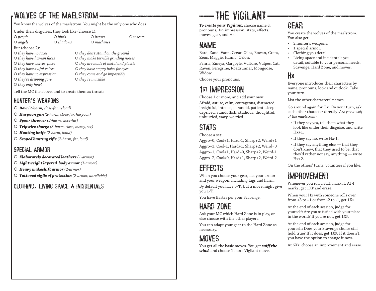### WOLVES OF THE MAELSTROM

You know the wolves of the maelstrom. You might be the only one who does.

Under their disguises, they look like (choose 1):

But (choose 2):

*they only howl*

 *people birds beasts insects angels shadows machines*

 *they have no faces they don't stand on the ground they have human faces they make terrible grinding noises they have wolves' faces they are made of metal and plastic they have awful voices they have empty holes for eyes they have no expression they come and go impossibly they're dripping gore they're invisible*

Tell the MC the above, and to create them as threats.

#### HUNTER'S WEAPONS

- *Bow (2-harm, close-far, reload)*
- *Harpoon gun (2-harm, close-far, harpoon)*
- *Spear thrower (2-harm, close-far)*
- *Tripwire charge (3-harm, close, messy, set)*
- *Hunting knife (2-harm, hand)*
- *Scoped hunting rifle (2-harm, far, loud)*

#### SPECIAL ARMOR

- *Elaborately decorated leathers (1-armor)*
- *Lightweight layered body armor (1-armor)*
- *Heavy makeshift armor (2-armor)*
- *Tattooed sigils of protection (2-armor, unreliable)*

#### CLOTHING, LIVING SPACE & INCIDENTALS

# **SEE THE VIGH ANT**

*To create your Vigilant*, choose name & pronouns, 1st impression, stats, effects, moves, gear, and Hx.

### NAME

Bard, Zand, Vann, Cezar, Giles, Rowan, Greta, Zeus, Maggie, Hanna, Orion.

Fenris, Zmeya, Gargoyle, Vulture, Vulpes, Cat, Raven, Peregrine, Roadrunner, Mongoose, Widow.

Choose your pronouns.

## 1st IMPRESSION

Choose 1 or more, and add your own: Afraid, astute, calm, courageous, distracted, insightful, intense, paranoid, patient, sleepdeprived, standoffish, studious, thoughtful, unhurried, wary, worried.

## STATS

Choose a set:

Aggro=0, Cool+1, Hard-1, Sharp+2, Weird+1 Aggro+1, Cool-1, Hard+1, Sharp+2, Weird=0 Aggro+1, Cool+1, Hard=0, Sharp+2, Weird-1 Aggro+2, Cool=0, Hard+1, Sharp+2, Weird-2

## **EFFECTS**

When you choose your gear, list your armor and your weapon, including tags and harm. By default you have 0-Ψ, but a move might give you 1-Ψ.

You have Barter per your Scavenge.

## HARD ZONE

Ask your MC which Hard Zone is in play, or else choose with the other players.

You can adapt your gear to the Hard Zone as necessary.

### **MOVES**

You get all the basic moves. You get *sniff the wind*, and choose 1 more Vigilant move.

### GEAR

You create the wolves of the maelstrom. You also get:

- 2 hunter's weapons.
- 1 special armor.
- Clothing you detail.
- Living space and incidentals you detail, suitable to your personal needs, Scavenge, Hard Zone, and moves.

#### Hx

Everyone introduces their characters by name, pronouns, look and outlook. Take your turn.

List the other characters' names.

Go around again for Hx. On your turn, ask each other character directly: *Are you a wolf of the maelstrom?*

- If they say yes, tell them what they look like under their disguise, and write  $Hx+1$ .
- If they say no, write Hx-1.
- If they say anything else that they don't know, that they used to be, that they'd rather not say, anything — write Hx+2.

On the others' turns, volunteer if you like.

### IMPROVEMENT

Whenever you roll a stat, mark it. At 4 marks, get 1Xp and erase.

When your Hx with someone rolls over from  $+3$  to  $+1$  or from  $-2$  to  $-1$ , get  $1XP$ .

At the end of each session, judge for yourself: Are you satisfied with your place in the world? If you're not, get 1Xp.

At the end of each session, judge for yourself: Does your Scavenge choice still hold true? If it does, get 1Xp. If it doesn't, you have the option to change it now.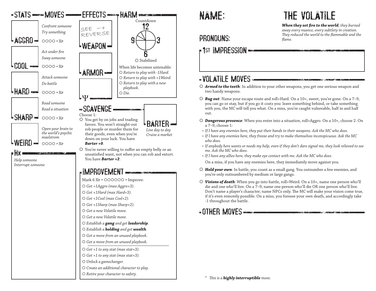

# THE VOLATILE

*When they set fire to the world, they burned away every nuance, every subtlety in creation. They reduced the world to the flammable and the flame.*

PRONOUNS:

### **P1st Impression**

#### VOLATILE MOVES

- *Armed to the teeth*: In addition to your other weapons, you get one serious weapon and two handy weapons.
- *Bug out*: Name your escape route and roll+Hard. On a 10+, sweet, you're gone. On a 7–9, you can go or stay, but if you go it costs you: leave something behind, or take something with you, the MC will tell you what. On a miss, you're caught vulnerable, half in and half out.
- *Dangerous presence*: When you enter into a situation, roll+Aggro. On a 10+, choose 2. On a 7–9, choose 1:
- *• If I have any enemies here, they put their hands to their weapons. Ask the MC who does.*
- *• If I have any enemies here, they freeze and try to make themselves inconspicuous. Ask the MC who does.*
- *• If anybody here wants or needs my help, even if they don't dare signal me, they look relieved to see me. Ask the MC who does.*
- *• If I have any allies here, they make eye contact with me. Ask the MC who does.*

On a miss, if you have any enemies here, they immediately move against you.

- *Hold your own*: In battle, you count as a small gang. You outnumber a few enemies, and you're only outnumbered by medium or large gangs.
- *Visions of death*: When you go into battle, roll+Weird. On a 10+, name one person who'll die and one who'll live. On a 7–9, name one person who'll die OR one person who'll live. Don't name a player's character; name NPCs only. The MC will make your vision come true, if it's even remotely possible. On a miss, you foresee your own death, and accordingly take -1 throughout the battle.

**OTHER MOVES** 

*\* This is a highly interruptible move.*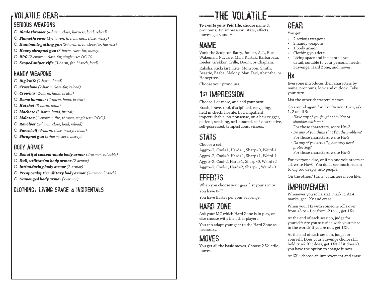#### VOLATILE GEAR SERIOUS WEAPONS

- *Blade thrower (4-harm, close, harness, loud, reload)*
- *Flamethrower (1-environ, fire, harness, close, messy)*
- *Handmade gatling gun (3-harm, area, close-far, harness)*
- *Heavy shrapnel gun (3-harm, close-far, messy)*
- *RPG (2-environ, close-far, single use: )*
- *Scoped sniper rifle (3-harm, far, hi-tech, loud)*

#### HANDY WEAPONS

- *Big knife (2-harm, hand)*
- *Crossbow (2-harm, close-far, reload)*
- *Crowbar (2-harm, hand, brutal)*
- *Demo hammer (2-harm, hand, brutal)*
- *Hatchet (3-harm, hand)*
- *Machete (3-harm, hand, brutal)*
- *Molotov (1-environ, fire, thrown, single use: )*
- *Revolver (2-harm, close, loud, reload)*
- *Sawed off (3-harm, close, messy, reload)*
- *Shrapnel gun (2-harm, close, messy)*

#### BODY ARMOR

- *Beautiful custom-made body armor (2-armor, valuable)*
- *Dull, utilitarian body armor (2-armor)*
- *Intimidating body armor (2-armor)*
- *Preapocalyptic military body armor (2-armor, hi-tech)*
- *Scavenged body armor (2-armor)*

#### CLOTHING , LIVING SPACE & INCIDENTALS

# **EXAMPLE** VOLATILE

*To create your Volatile*, choose name & pronouns, 1st impression, stats, effects, moves, gear, and Hx.

### NAME

Vonk the Sculptor, Batty, Jonker, A.T., Rue Wakeman, Navarre, Man, Kartak, Barbarossa, Keeler, Grekkor, Crille, Doom, or Chaplain.

Raksha, Kickskirt, Kite, Monsoon, Smith, Beastie, Baaba, Melody, Mar, Tavi, Absinthe, or Honeytree.

Choose your pronouns.

### 1st IMPRESSION

Choose 1 or more, and add your own:

Brash, brave, cool, disciplined, easygoing, held in check, hostile, hot, impatient, imperturbable, no-nonsense, on a hair trigger, patient, seething, self-assured, self-destructive, self-possessed, tempestuous, vicious.

## STATS

#### Choose a set:

Aggro+2, Cool+1, Hard+1, Sharp=0, Weird-1 Aggro+2, Cool=0, Hard+1, Sharp+1, Weird-1 Aggro+2, Cool-2, Hard+1, Sharp=0, Weird+2 Aggro+2, Cool-1, Hard+2, Sharp-1, Weird=0

### EFFECTS

When you choose your gear, list your armor. You have 0- Ψ .

You have Barter per your Scavenge.

### HARD ZONE

Ask your MC which Hard Zone is in play, or else choose with the other players.

You can adapt your gear to the Hard Zone as necessary.

### **MOVES**

You get all the basic moves. Choose 2 Volatile moves.

## GEAR

- You get:
- 2 serious weapons.
- 2 handy weapons.
- 1 body armor.
- Clothing you detail.
- Living space and incidentals you detail, suitable to your personal needs, Scavenge, Hard Zone, and moves.

#### H x

Everyone introduces their characters by name, pronouns, look and outlook. Take your turn.

List the other characters' names.

Go around again for Hx. On your turn, ask 1, 2 or all 3:

- *• Have any of you fought shoulder to shoulder with me?*
- For those characters, write Hx+3.
- *• Do any of you think that* I'm *the problem?* For those characters, write Hx-2.
- *• Do any of you actually, honestly need protecting?*
- For those characters, write Hx+2.

For everyone else, or if no one volunteers at all, write Hx=0. You don't see much reason to dig too deeply into people.

On the others' turns, volunteer if you like.

### IMPROVEMENT

Whenever you roll a stat, mark it. At 4 marks, get 1Xp and erase.

When your Hx with someone rolls over from +3 to +1 or from -2 to -1, get 1Xp .

At the end of each session, judge for yourself: Are you satisfied with your place in the world? If you're not, get 1Xp .

At the end of each session, judge for yourself: Does your Scavenge choice still hold true? If it does, get 1Xp. If it doesn't, you have the option to change it now.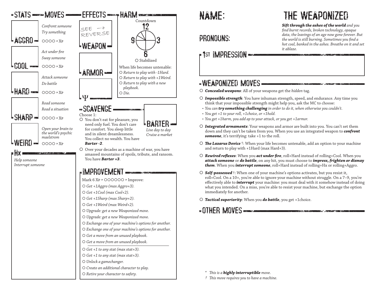

### PRONOUNS:

### 1st IMPRESSION

#### WEAPONIZED MOVES

- *Concealed weapons*: All of your weapons get the *hidden* tag.
- *Impossible strength*: You have inhuman strength, speed, and endurance. Any time you think that your impossible strength might help you, ask the MC to choose:
- *• You can try something challenging in order to do it, when otherwise you couldn't.*
- *• You get +1 to your roll, +1choice, or +1hold.*
- *• You get +1harm, you add ap to your attack, or you get +1armor.*
- *Integrated armaments*: Your weapons and armor are built into you. You can't set them down and they can't be taken from you. When you use an integrated weapon to *confront someone*, it's terrifying: take +1 to the roll.
- *The Lazarus Device* †: When your life becomes untenable, add an option to your machine and return to play with +1Hard (max Hard+3).
- *Rewired reflexes*: When you *act under fire*, roll+Hard instead of rolling+Cool. When you *attack someone* or *do battle*, on any hit, you must choose to *impress, frighten or dismay them*. When you *interrupt someone*, roll+Hard instead of rolling+Hx or rolling+Aggro.
- *Self-possessed* †: When one of your machine's options activates, but you resist it, roll+Cool. On a 10+, you're able to ignore your machine without struggle. On a 7–9, you're effectively able to *interrupt* your machine: you must deal with it somehow instead of doing what you intended. On a miss, you're able to resist your machine, but exchange the option immediately for another.
- *Tactical superiority*: When you *do battle*, you get +1choice.

#### **OTHER MOVES DIMENSIONS CONSUMING THE CONSUMING THE CONSUMERS**

*\* This is a highly interruptible move.*

*† This move requires you to have a machine.*

# THE WEAPONIZED

*Sift through the ashes of the world and you find burnt records, broken technology, opaque data, the leavings of an age now gone forever. But the world is still burning. Sometimes you find a hot coal, banked in the ashes. Breathe on it and set it ablaze.*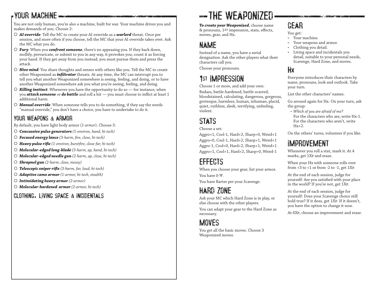### YOUR MACHINE

You are not only human, you're also a machine, built for war. Your machine drives you and makes demands of you. Choose 2:

- *AI override*: Tell the MC to create your AI override as a *warlord* threat. Once per session, and more often if you choose, tell the MC that your AI override takes over. Ask the MC what you do.
- *Fury*: When you *confront someone*, there's no appeasing you. If they back down, mollify, prevaricate, or submit to you in any way, it provokes you; count it as forcing your hand. If they get away from you instead, you must pursue them and press the attack.
- *Hive mind*: You share thoughts and senses with others like you. Tell the MC to create other Weaponized as *infiltrator* threats. At any time, the MC can interrupt you to tell you what another Weaponized somewhere is seeing, feeling, and doing, or to have another Weaponized somewhere ask you what you're seeing, feeling, and doing.
- *Killing instinct*: Whenever you have the opportunity to do so for instance, when you *attack someone* or *do battle* and roll a hit — you must choose to inflict at least 1 additional harm.
- *Manual override*: When someone tells you to do something, if they say the words "manual override," you don't have a choice, you have to undertake to do it.

#### YOUR WEAPONS & ARMOR

By default, you have light body armor (*1-armor*). Choose 3:

- *Concussive pulse generators (1-environ, hand, hi-tech)*
- *Focused energy lance (3-harm, fire, close, hi-tech)*
- *Heavy pulse rifle (1-environ, burstfire, close-far, hi-tech)*
- *Molecular-edged long-blade (3-harm, ap, hand, hi-tech)*
- *Molecular-edged needle gun (2-harm, ap, close, hi-tech)*
- *Shrapnel gun (2-harm, close, messy)*
- *Telescopic sniper rifle (3-harm, far, loud, hi-tech)*
- *Adaptive camo armor (1-armor, hi-tech, stealth)*
- *Intimidating heavy armor (2-armor)*
- *Molecular-hardened armor (2-armor, hi-tech)*

#### CLOTHING, LIVING SPACE & INCIDENTALS

# THE WEAPONIZED

*To create your Weaponized*, choose name & pronouns, 1st impression, stats, effects, moves, gear, and Hx.

### NAME

Instead of a name, you have a serial designation. Ask the other players what their characters call you.

Choose your pronouns.

## 1st IMPRESSION

Choose 1 or more, and add your own: Badass, battle-hardened, battle-scarred, bloodstained, calculating, dangerous, gorgeous, grotesque, harmless, human, inhuman, placid, quiet, ruthless, sleek, terrifying, unfeeling, violent.

### STATS

Choose a set:

Aggro+1, Cool-1, Hard+2, Sharp=0, Weird+1 Aggro=0, Cool-1, Hard+2, Sharp+1, Weird+1 Aggro-1, Cool=0, Hard+2, Sharp+1, Weird+1 Aggro+1, Cool+1, Hard+2, Sharp=0, Weird-1

### EFFECTS

When you choose your gear, list your armor. You have 0-Ψ.

You have Barter per your Scavenge.

## HARD ZONE

Ask your MC which Hard Zone is in play, or else choose with the other players.

You can adapt your gear to the Hard Zone as necessary.

### **MOVES**

You get all the basic moves. Choose 3 Weaponized moves.

## GEAR

- You get:
- Your machine.
- Your weapons and armor.
- Clothing you detail.
- Living space and incidentals you detail, suitable to your personal needs, Scavenge, Hard Zone, and moves.

#### Hx

Everyone introduces their characters by name, pronouns, look and outlook. Take your turn.

List the other characters' names.

Go around again for Hx. On your turn, ask the group:

*• Which of you are afraid of me?*

For the characters who are, write Hx-1. For the characters who aren't, write Hx+2.

On the others' turns, volunteer if you like.

### IMPROVEMENT

Whenever you roll a stat, mark it. At 4 marks, get 1Xp and erase.

When your Hx with someone rolls over from  $+3$  to  $+1$  or from  $-2$  to  $-1$ , get  $1XP$ .

At the end of each session, judge for yourself: Are you satisfied with your place in the world? If you're not, get 1Xp.

At the end of each session, judge for yourself: Does your Scavenge choice still hold true? If it does, get 1Xp. If it doesn't, you have the option to change it now.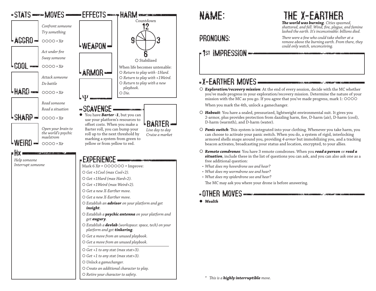

PRONOUNS:

## THE X-EARTHER

*The world was burning. Cities spasmed, shattered, and fell. Wind, fire, plague, and famine lashed the earth. It's inconceivable: billions died.*

*There were a few who could take shelter at a remove above the burning earth. From there, they could only watch, unconceiving.*

### X-EARTHER MOVES

1st IMPRESSION

 *Exploration/recovery mission*: At the end of every session, decide with the MC whether you've made progress in your exploration/recovery mission. Determine the nature of your mission with the MC as you go. If you agree that you've made progress, mark 1:

When you mark the 4th, unlock a gamechanger.

- *Habsuit*: You have a sealed, pressurized, lightweight environmental suit. It gives you 2-armor, plus provides protection from dazzling harm, fire, D-harm (air), D-harm (cool), D-harm (warmth), and D-harm (water).
- *Panic switch*: This system is integrated into your clothing. Whenever you take harm, you can choose to activate your panic switch. When you do, a system of rigid, interlocking armored shells snaps around you, providing *4-armor* but immobilizing you, and a tracking beacon activates, broadcasting your status and location, encrypted, to your allies.
- *Remote comdrones*: You have 3 remote comdrones. When you *read a person* or *read a situation*, include these in the list of questions you can ask, and you can also ask one as a free additional question:

**CONTACT MARKET** 

**CONTRACT ACCEPTANCE COMPANY** 

- *• What does my hoverdrone see and hear?*
- *• What does my wormdrone see and hear?*
- *• What does my spiderdrone see and hear?*

The MC may ask you where your drone is before answering.

#### **UTHER MOVES**

*Wealth*

*\* This is a highly interruptible move.*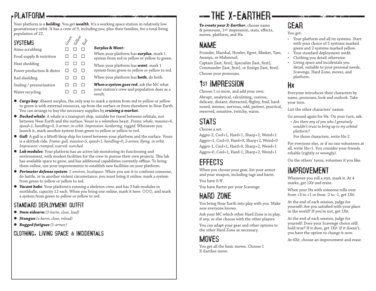### PLATFORM

Food supply & nutrition  $\Box$   $\Box$   $\Box$ Heat shedding  $\Box$   $\Box$   $\Box$ Power production & distro  $\Box$   $\Box$   $\Box$ Rad shielding  $\Box$   $\Box$   $\Box$ Sealing / pressurization  $\Box$   $\Box$   $\Box$ Water recycling  $\Box$   $\Box$   $\Box$ 

Your platform is a *holding*. You get *wealth*. It's a working space station in relatively low geostationary orbit. It has a crew of 9, including you, plus their families, for a total living population of 22. *Green Yellow*

*Red*

#### **SYSTEMS** Atmo scrubbing  $\Box$   $\Box$   $\Box$

#### *Surplus & Want:*

When your platform has *surplus*, mark 1 system from red to yellow or yellow to green.

When your platform has *want*, mark 1 system from green to yellow or yellow to red.

When your platform has **both**, do both.

*When a system goes red*, ask the MC what your station's crew and population does as a result.

- *Cargo bay*: Absent surplus, the only way to mark a system from red to yellow or yellow to green is with external resources, up from the surface or from elsewhere in Near Earth. You can arrange to buy the necessary supplies by *cruising a market*.
- *Docked whale*: A whale is a transport ship, suitable for travel between orbitals, not between Near Earth and the surface. Yours is a relentless beast. *Frame: whale, massive=6, speed=1, handling=0, 3-armor, in-orbit. Impression: lumbering, rugged.* Whenever you launch it, mark another system from green to yellow or yellow to red.
- *Gull*: A gull is a liftoff/drop ship for travel between your platform and the surface. Yours is a skittish ride. *Frame: gull, massive=5, speed+1, handling=0, 2-armor, flying, in-orbit. Impression: cramped, scarred. scorched.*
- *Lab modules*: Your platform has an active lab monitoring its functioning and environment, with modest facilities for the crew to pursue their own projects. This lab has available space to grow, and has additional capabilities currently offline. To bring them online, use your improvements to establish new facilities on your platform.
- *Perimeter defense system*: *1-environ, localspace*. When you use it to confront someone, do battle, or in another violent circumstance, you must bring it online: mark a system from green to yellow or yellow to red.
- *Vacant habs*: Your platform's running a skeleton crew, and has 3 hab modules in mothballs, capacity 12 each. When you bring one online, mark it here:  $000$ , and mark a system from green to yellow or yellow to red.

#### STANDARD DEPLOYMENT OUTFIT

- *9mm sidearm (2-harm, close, loud)*
- *Stungun (s-harm, close, reload)*
- *Rugged fatigues (1-armor)*

#### CLOTHING, LIVING SPACE & INCIDENTALS

# -THE X-EARTHER-

*To create your X-Earther*, choose name & pronouns, 1st impression, stats, effects, moves, platform, and Hx.

### NAME

Founder, Marshal, Howler, Egret, Blinker, Tam, Ananya, or Mahmoud.

Captain [last, first], Specialist [last, first], Commander [last, first], or Ensign [last, first]. Choose your pronouns.

## 1st IMPRESSION

Choose 1 or more, and add your own: Abrupt, analytical, calculating, curious, delicate, distant, distracted, flighty, frail, hardnosed, intense, nervous, odd, patient, practical, reserved, sensitive, twitchy, warm.

## STATS

Choose a set:

Aggro-2, Cool+1, Hard+1, Sharp+2, Weird+1 Aggro+1, Cool=0, Hard=0, Sharp+2, Weird=0 Aggro-1, Cool+1, Hard=0, Sharp+2, Weird+1 Aggro=0, Cool+1, Hard-1, Sharp+2, Weird+1

## EFFECTS

When you choose your gear, list your armor and your weapon, including tags and harm. You have 0-Ψ.

You have Barter per your Scavenge.

# HARD ZONE

You bring Near Earth into play with you. Make sure everyone knows.

Ask your MC which other Hard Zone is in play, if any, or else choose with the other players. You can adapt your gear and other options to

the other Hard Zone as necessary.

## **MOVES**

You get all the basic moves. Choose 1 X-Earther move.

## GEAR

You get:

- Your platform and all its systems. Start with your choice of 5 systems marked green and 2 systems marked yellow.
- Your standard deployment outfit.
- Clothing you detail otherwise.
- Living space and incidentals you detail, suitable to your personal needs, Scavenge, Hard Zone, moves, and platform.

### Hx

Everyone introduces their characters by name, pronouns, look and outlook. Take your turn.

List the other characters' names.

- Go around again for Hx. On your turn, ask:
- *• Are there any of you who I genuinely wouldn't trust to bring up to my orbital platform?*
- For those characters, write Hx-2.

For everyone else, or if no one volunteers at all, write Hx+1. You consider your friends reliable (rightly or wrongly).

On the others' turns, volunteer if you like.

### IMPROVEMENT

Whenever you roll a stat, mark it. At 4 marks, get 1Xp and erase.

When your Hx with someone rolls over from  $+3$  to  $+1$  or from  $-2$  to  $-1$ , get 1XP.

At the end of each session, judge for yourself: Are you satisfied with your place in the world? If you're not, get 1Xp.

At the end of each session, judge for yourself: Does your Scavenge choice still hold true? If it does, get 1Xp. If it doesn't, you have the option to change it now.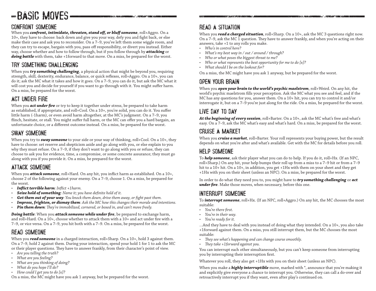# BASIC MOVES

#### CONFRONT SOMEONE

When you *confront, intimidate, threaten, stand off, or bluff someone*, roll+Aggro. On a 10+, they have to choose: back down and give you your way, defy you and fight back, or else make their case and ask you to reconsider. On a 7–9, you've left them some wiggle room, and they can try to escape, bargain with you, pass off responsibility, or divert you instead. Either way, choose whether and how to follow through, but if you follow through by *attacking* or doing battle with them, take +1forward to that move. On a miss, be prepared for the worst.

#### TRY SOMETHING CHALLENGING

When you *try something challenging*, a physical action that might be beyond you, requiring strength, skill, dexterity, endurance, balance, or quick reflexes, roll+Aggro. On a 10+, you can do it; ask the MC what it takes and how it goes. On a 7–9, you can do it, but ask the MC what it will cost you and decide for yourself if you want to go through with it. You might suffer harm. On a miss, be prepared for the worst.

#### ACT UNDER FIRE

When you *act under fire* or try to keep it together under stress, be prepared to take harm as established, if appropriate, and roll+Cool. On a 10+, you're solid, you can do it. You suffer little harm (-1harm), or even avoid harm altogether, at the MC's judgment. On a 7–9, you flinch, hesitate, or stall. You might suffer full harm, or the MC can offer you a hard bargain, an unfortunate choice, or a different outcome instead. On a miss, be prepared for the worst.

#### SWAY SOMEONE

When you try to **sway someone** to your side or your way of thinking, roll+Cool. On a 10+, they have to choose: set reserve and skepticism aside and go along with you, or else explain to you why they must refuse. On a 7–9, if they don't want to go along with you or refuse, they can choose to ask you for evidence, time, a compromise, or some concrete assurance; they must go along with you if you provide it. On a miss, be prepared for the worst.

#### ATTACK SOMEONE

When you *attack someone*, roll+Hard. On any hit, you inflict harm as established. On a 10+, choose 2 of the following against your enemy. On a 7–9, choose 1. On a miss, be prepared for the worst.

- *• Inflict terrible harm: Inflict +1harm.*
- *• Seize hold of something: Name it; you have definite hold of it.*
- *• Get them out of your way: You knock them down, drive them away, or fight past them.*
- *• Impress, frighten, or dismay them: Ask the MC how this changes their morale and intentions.*
- *• Pin them down: They're immobilized, cornered, or boxed in, and can't move freely.*

*Doing battle*: When you *attack someone while under fire*, be prepared to exchange harm, and roll+Hard. On a 10+, choose whether to attack them with a 10+ and act under fire with a 7–9, or vice versa. On a 7–9, you hit both with a 7–9. On a miss, be prepared for the worst.

#### READ SOMEONE

When you **read someone** in a charged interaction, roll+Sharp. On a 10+, hold 3 against them. On a 7–9, hold 2 against them. During your interaction, spend your hold 1 for 1 to ask the MC or their player questions. They have to answer frankly, from their character's point of view.

- *• Are you telling the truth?*
- *• What are you feeling?*
- *• What are you thinking of doing?*
- *• What do you hope I'll do?*
- *• How could I get you to do [x]?*

On a miss, the MC might have you ask 1 anyway, but be prepared for the worst.

#### READ A SITUATION

When you *read a charged situation*, roll+Sharp. On a 10+, ask the MC 3 questions right now. On a 7–9, ask the MC 1 question. They have to answer frankly, and when you're acting on their answers, take +1 to any rolls you make.

- *• Who's in control here?*
- *• What's my best way in / out / around / through?*
- *• Who or what poses the biggest threat to me?*
- *• Who or what represents the best opportunity for me to do [x]?*
- *• What should I be on the lookout for?*

On a miss, the MC might have you ask 1 anyway, but be prepared for the worst.

#### OPEN YOUR BRAIN

When you *open your brain to the world's psychic maelstrom*, roll+Weird. On any hit, the world's psychic maelstrom fills your perception. Ask the MC what you see and feel, and if the MC has any questions for you, answer them. On a 10+ hit, you can try to control it and/or interrogate it, but on a 7–9 you're just along for the ride. On a miss, be prepared for the worst.

#### LIVE DAY TO DAY

*At the beginning of every session*, roll+Barter. On a 10+, ask the MC what's free and what's easy. On a 7–9, ask the MC what's easy and what's hard. On a miss, be prepared for the worst.

#### CRUISE A MARKET

When you *cruise a market*, roll+Barter. Your roll represents your buying power, but the result depends on what you're after and what's available. Get with the MC for details before you roll.

#### HELP SOMEONE

To *help someone*, ask their player what you can do to help. If you do it, roll+Hx. (If an NPC, roll+Sharp.) On any hit, your help bumps their roll up from a miss to a 7–9 hit or from a 7–9 hit to a 10+ hit. On a 10+, in addition, you get +1Hx with them on your sheet and they get +1Hx with you on their sheet (unless an NPC). On a miss, be prepared for the worst.

In order to do what they need you to, you might have to *try something challenging* or *act under fire*. Make those moves, when necessary, before this one.

#### INTERRUPT SOMEONE

To *interrupt someone*, roll+Hx. (If an NPC, roll+Aggro.) On any hit, the MC chooses the most suitable:

- *• You're there first.*
- *• You're in their way.*
- *• You're ready for it.*

…And they have to deal with you instead of doing what they intended. On a 10+, you also take +1forward against them. On a miss, you still interrupt them, but the MC chooses the most suitable:

- *• They see what's happening and can change course smoothly.*
- *• They take +1forward against you.*

You can interrupt each other simultaneously, but you can't keep someone from interrupting you by interrupting their interruption first.

Whatever you roll, they also get +1Hx with you on their sheet (unless an NPC).

When you make a *highly interruptible* move, marked with \*, announce that you're making it and explicitly give everyone a chance to interrupt you. Otherwise, they can call a do-over and retroactively interrupt you if they want, even after play's continued on.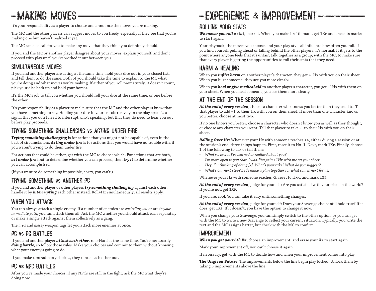# -MAKING MOVES-

It's your responsibility as a player to choose and announce the moves you're making.

The MC and the other players can suggest moves to you freely, especially if they see that you're making one but haven't realized it yet.

The MC can also call for you to make any move that they think you definitely should.

If you and the MC or another player disagree about your moves, explain yourself, and don't proceed with play until you've worked it out between you.

#### SIMULTANEOUS MOVES

If you and another player are acting at the same time, hold your dice out in your closed fist, and tell them to do the same. Both of you should take the time to explain to the MC what you're doing and what moves you're making. If either of you roll prematurely, it doesn't count, pick your dice back up and hold your horses.

It's the MC's job to tell you whether you should roll your dice at the same time, or one before the other.

It's your responsibility as a player to make sure that the MC and the other players know that you have something to say. Holding your dice in your fist obtrusively in the play space is a signal that you don't need to interrupt who's speaking, but that they do need to hear you out before play proceeds.

#### TRYING SOMETHING CHALLENGING vs ACTING UNDER FIRE

*Trying something challenging* is for actions that you might not be capable of, even in the best of circumstances. *Acting under fire* is for actions that you would have no trouble with, if you weren't trying to do them under fire.

For actions that could be either, get with the MC to choose which. For actions that are both, *act under fire* first to determine whether you can proceed, then *try it* to determine whether you can accomplish it.

(If you want to do something impossible, sorry, you can't.)

#### TRYING SOMETHING vs ANOTHER PC

If you and another player or other players *try something challenging* against each other, handle it by *interrupting* each other instead. Roll+Hx simultaneously; all results apply.

#### WHEN YOU ATTACK

You can always attack a single enemy. If a number of enemies are *encircling you* or are *in your immediate path*, you can attack them all. Ask the MC whether you should attack each separately or make a single attack against them collectively as a gang.

The *area* and *messy* weapon tags let you attack more enemies at once.

#### PC vs PC BATTLES

If you and another player *attack each other*, roll+Hard at the same time. You're necessarily *doing battle*, so follow those rules. Make your choices and commit to them without knowing what your enemy's going to do.

If you make contradictory choices, they cancel each other out.

#### PC vs NPC BATTLES

After you've made your choices, if any NPCs are still in the fight, ask the MC what they're doing now.

## EXPERIENCE & IMPROVEMENT

#### ROLLING YOUR STATS

*Whenever you roll a stat*, mark it. When you make its 4th mark, get 1Xp and erase its marks to start again.

Your playbook, the moves you choose, and your play style all influence how often you roll. If you find yourself pulling ahead or falling behind the other players, it's normal. If it gets to the point where anyone feels that it's unfair, talk together as a group, with the MC, to make sure that every player is getting the opportunities to roll their stats that they need.

#### HARM & HEALING

When you *inflict harm* on another player's character, they get +1Hx with you on their sheet. When you hurt someone, they see you more clearly.

When you *heal or give medical aid* to another player's character, you get +1Hx with them on your sheet. When you heal someone, you see them more clearly.

#### AT THE END OF THE SESSION

*At the end of every session*, choose a character who knows you better than they used to. Tell that player to add +1 to their Hx with you on their sheet. If more than one character knows you better, choose at most two.

If no one knows you better, choose a character who doesn't know you as well as they thought, or choose any character you want. Tell that player to take -1 to their Hx with you on their sheet.

*Rolling Over Hx***:** Whenever your Hx with someone reaches +4, either during a session or at the session's end, three things happen. First, reset it to Hx+1. Next, mark 1Xp. Finally, choose 1 of the following to ask or tell them:

- *• What's a secret I've learned or realized about you?*
- *• I'm more open to you than I was. You gain +1Hx with me on your sheet.*
- *• Hey, I'm thinking of doing [x]. What's your take? What do you suggest?*
- *• What's our next step? Let's make a plan together for what comes next for us.*

Whenever your Hx with someone reaches -3, reset to Hx-1 and mark 1Xp.

*At the end of every session*, judge for yourself: Are you satisfied with your place in the world? If you're not, get 1Xp.

If you are, cool. You can take it easy until something changes.

*At the end of every session*, judge for yourself: Does your Scavenge choice still hold true? If it does, get 1Xp. If it doesn't, you have the option to change it now.

When you change your Scavenge, you can simply switch to the other option, or you can get with the MC to write a new Scavenge to reflect your current situation. Typically, you write the text and the MC assigns barter, but check with the MC to confirm.

#### IMPROVEMENT

*When you get your 6th Xp*, choose an improvement, and erase your Xp to start again.

Mark your improvement off, you can't choose it again.

If necessary, get with the MC to decide how and when your improvement comes into play.

**The Ungiven Future**: The improvements below the line begin play locked. Unlock them by taking 5 improvements above the line.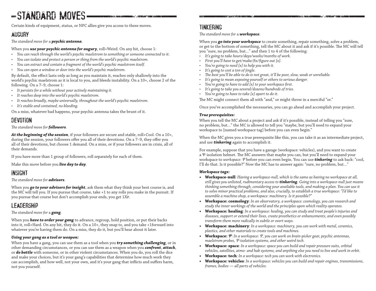## -STANDARD MOVES-

Certain kinds of equipment, status, or NPC allies give you access to these moves.

#### **AUGURY**

*The standard move for* a *psychic antenna.*

#### When you **use your psychic antenna for augury**, roll+Weird. On any hit, choose 1:

- *• You can reach through the world's psychic maelstrom to something or someone connected to it.*
- *• You can isolate and protect a person or thing from the world's psychic maelstrom.*
- *• You can extract and contain a fragment of the world's psychic maelstrom itself.*
- *• You can open a window or door into the world's psychic maelstrom.*

By default, the effect lasts only as long as you maintain it, reaches only shallowly into the world's psychic maelstrom as it is local to you, and bleeds instability. On a 10+, choose 2 of the following. On a 7–9, choose 1:

- *• It persists for a while without your actively maintaining it.*
- *• It reaches deep into the world's psychic maelstrom.*
- *• It reaches broadly, maybe universally, throughout the world's psychic maelstrom.*
- *• It's stable and contained, no bleeding.*

On a miss, whatever bad happens, your psychic antenna takes the brunt of it.

#### **DEVOTION**

#### *The standard move for followers.*

*At the beginning of the session*, if your followers are secure and stable, roll+Cool. On a 10+, during the session, your followers offer you all of their devotions. On a 7–9, they offer you all of their devotions, but choose 1 demand. On a miss, or if your followers are in crisis, all of their demands.

If you have more than 1 group of followers, roll separately for each of them.

Make this move before you *live day to day*.

#### INSIGHT

#### *The standard move for advisors.*

When you *go to your advisors for insight*, ask them what they think your best course is, and the MC will tell you. If you pursue that course, take +1 to any rolls you make in the pursuit. If you pursue that course but don't accomplish your ends, you get 1Xp.

#### LEADERSHIP

#### *The standard move for* a *gang.*

When you *have to order your gang* to advance, regroup, hold position, or put their backs into it, roll+Hard. On any hit, they do it. On a 10+, they snap to, and you take +1forward into whatever you're having them do. On a miss, they do it, but you'll hear about it later.

#### *Using your gang as a tool or weapon:*

When you have a gang, you can use them as a tool when you *try something challenging*, or in other demanding circumstances, or you can use them as a weapon when you *confront*, *attack*, or *do battle* with someone, or in other violent circumstances. When you do, you roll the dice and make your choices, but it's your gang's capabilities that determine how much work they can accomplish, and how well, not your own, and it's your gang that inflicts and suffers harm, not you yourself.

#### TINKERING

*The standard move for* a *workspace.*

When you *go into your workspace* to create something, repair something, solve a problem, or get to the bottom of something, tell the MC about it and ask if it's possible. The MC will tell you "sure, no problem, but…" and then 1 to 4 of the following:

- *• It's going to take hours/days/weeks/months of work.*
- *• First you'll have to get/make/fix/figure out [x].*
- *• You're going to need [x] to help you with it.*
- *• It's going to cost a ton of jingle.*
- *• The best you'll be able to do is not great, it'll be poor, slow, weak or unreliable.*
- *• It's going to mean exposing yourself or others to serious danger.*
- *• You're going to have to add [x] to your workspace first.*
- *• It's going to take you several/dozens/hundreds of tries.*
- *• You're going to have to take [x] apart to do it.*

The MC might connect them all with "and," or might throw in a merciful "or."

Once you've accomplished the necessaries, you can go ahead and accomplish your project.

#### *True prerequisites:*

When you tell the MC about a project and ask if it's possible, instead of telling you "sure, no problem, but…" the MC is allowed to tell you "maybe, but you'll need to expand your workspace to [named workspace tag] before you can even begin."

When the MC gives you a true prerequisite like this, you can take it as an intermediate project, and use *tinkering* again to accomplish it.

For example, suppose that you have a garage (workspace: vehicles), and you want to create a Ψ-isolation helmet. The MC answers that maybe you can, but you'll need to expand your workspace to *workspace: Ψ* before you can even begin. You can use *tinkering* to ask back: "cool, I'll do that. Is it possible?" Now the MC has to answer again: "sure, no problem, but…"

#### *Workspace tags:*

- **• Workspace-null***: Having a workspace-null, which is the same as having no workspace at all, still gives you unlisted, rudimentary access to tinkering. Going into a workspace-null just means thinking something through, considering your available tools, and making a plan. You can use it to solve minor practical problems, and also, crucially, to establish a true workspace: "I'd like to assemble a machine shop, a workspace: machinery. Is it possible?"*
- **• Workspace: cosmology***: In an observatory, a workspace: cosmology, you can research and study the inner workings of the world and the principles upon which reality operates.*
- **• Workspace: healing***: In a workspace: healing, you can study and treat people's injuries and diseases, support or extend their lives, create prosthetics or enhancements, and even possibly transform them more radically in subtle or overt ways.*
- **• Workspace: machinery***: In a workspace: machinery, you can work with metal, ceramics, plastics, and other materials to create tools and machines.*
- **• Workspace:** *Ψ: In a workspace: Ψ, you can work on brain-picker gear, psychic antennas, maelstrom probes, Ψ-isolation systems, and other weird tech.*
- **• Workspace: space***: In a workspace: space you can build and repair pressure suits, orbital vehicles, satellites, atmo- and hab systems, and anything else you need to live and work in orbit.*
- **• Workspace: tech***: In a workspace: tech you can work with electronics.*
- **• Workspace: vehicles***: In a workspace: vehicles you can build and repair engines, transmissions, frames, bodies — all parts of vehicles.*